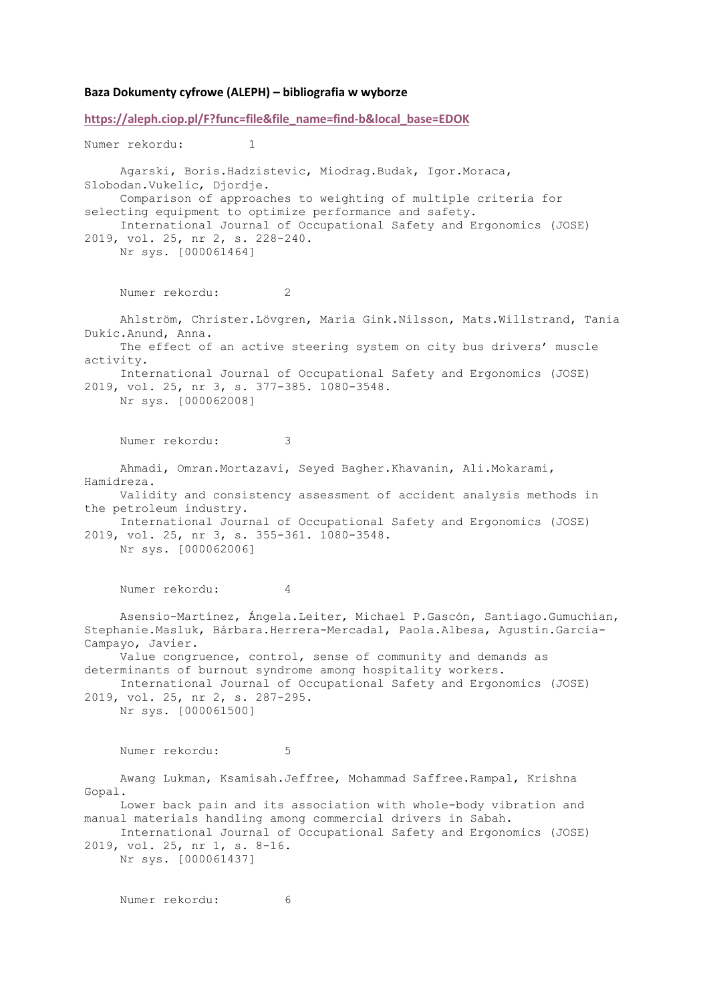## **Baza Dokumenty cyfrowe (ALEPH) – bibliografia w wyborze**

**[https://aleph.ciop.pl/F?func=file&file\\_name=find-b&local\\_base=EDOK](https://aleph.ciop.pl/F?func=file&file_name=find-b&local_base=EDOK)** Numer rekordu: 1 Agarski, Boris.Hadzistevic, Miodrag.Budak, Igor.Moraca, Slobodan.Vukelic, Djordje. Comparison of approaches to weighting of multiple criteria for selecting equipment to optimize performance and safety. International Journal of Occupational Safety and Ergonomics (JOSE) 2019, vol. 25, nr 2, s. 228-240. Nr sys. [000061464] Numer rekordu: 2 Ahlström, Christer.Lövgren, Maria Gink.Nilsson, Mats.Willstrand, Tania Dukic.Anund, Anna. The effect of an active steering system on city bus drivers' muscle activity. International Journal of Occupational Safety and Ergonomics (JOSE) 2019, vol. 25, nr 3, s. 377-385. 1080-3548. Nr sys. [000062008] Numer rekordu: 3 Ahmadi, Omran.Mortazavi, Seyed Bagher.Khavanin, Ali.Mokarami, Hamidreza. Validity and consistency assessment of accident analysis methods in the petroleum industry. International Journal of Occupational Safety and Ergonomics (JOSE) 2019, vol. 25, nr 3, s. 355-361. 1080-3548. Nr sys. [000062006] Numer rekordu: 4 Asensio-Martínez, Ángela.Leiter, Michael P.Gascón, Santiago.Gumuchian, Stephanie.Masluk, Bárbara.Herrera-Mercadal, Paola.Albesa, Agustín.García-Campayo, Javier. Value congruence, control, sense of community and demands as determinants of burnout syndrome among hospitality workers. International Journal of Occupational Safety and Ergonomics (JOSE) 2019, vol. 25, nr 2, s. 287-295. Nr sys. [000061500] Numer rekordu: 5 Awang Lukman, Ksamisah.Jeffree, Mohammad Saffree.Rampal, Krishna Gopal. Lower back pain and its association with whole-body vibration and manual materials handling among commercial drivers in Sabah. International Journal of Occupational Safety and Ergonomics (JOSE) 2019, vol. 25, nr 1, s. 8-16. Nr sys. [000061437]

Numer rekordu: 6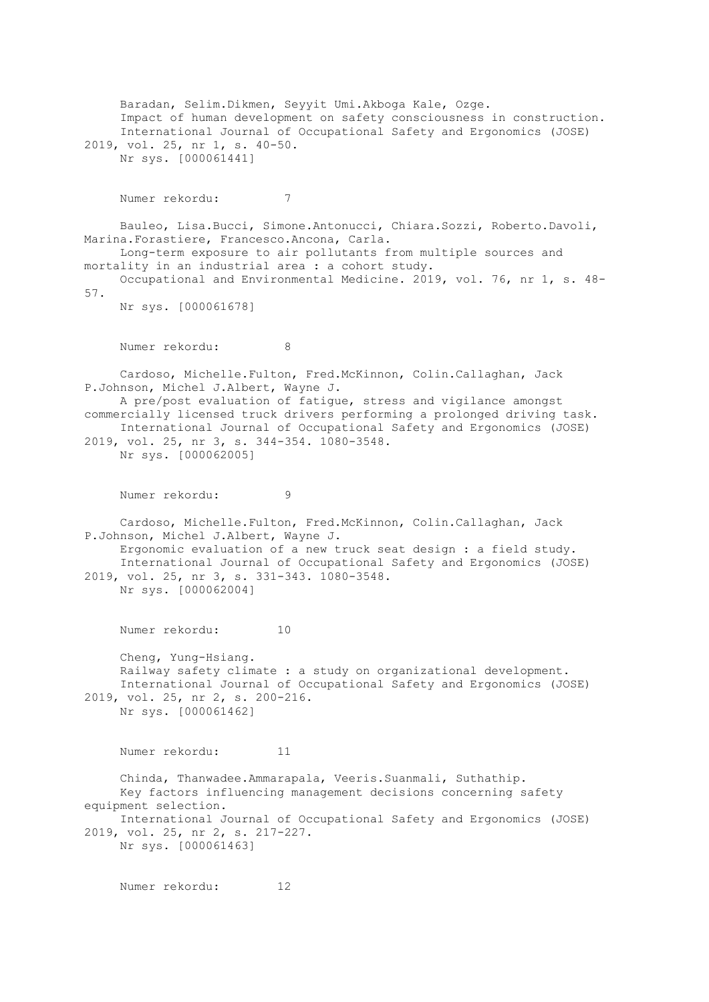Baradan, Selim.Dikmen, Seyyit Umi.Akboga Kale, Ozge. Impact of human development on safety consciousness in construction. International Journal of Occupational Safety and Ergonomics (JOSE) 2019, vol. 25, nr 1, s. 40-50. Nr sys. [000061441] Numer rekordu: 7 Bauleo, Lisa.Bucci, Simone.Antonucci, Chiara.Sozzi, Roberto.Davoli, Marina.Forastiere, Francesco.Ancona, Carla. Long-term exposure to air pollutants from multiple sources and mortality in an industrial area : a cohort study. Occupational and Environmental Medicine. 2019, vol. 76, nr 1, s. 48- 57. Nr sys. [000061678] Numer rekordu: 8 Cardoso, Michelle.Fulton, Fred.McKinnon, Colin.Callaghan, Jack P.Johnson, Michel J.Albert, Wayne J. A pre/post evaluation of fatigue, stress and vigilance amongst commercially licensed truck drivers performing a prolonged driving task. International Journal of Occupational Safety and Ergonomics (JOSE) 2019, vol. 25, nr 3, s. 344-354. 1080-3548. Nr sys. [000062005] Numer rekordu: 9 Cardoso, Michelle.Fulton, Fred.McKinnon, Colin.Callaghan, Jack P.Johnson, Michel J.Albert, Wayne J. Ergonomic evaluation of a new truck seat design : a field study. International Journal of Occupational Safety and Ergonomics (JOSE) 2019, vol. 25, nr 3, s. 331-343. 1080-3548. Nr sys. [000062004] Numer rekordu: 10 Cheng, Yung-Hsiang. Railway safety climate : a study on organizational development. International Journal of Occupational Safety and Ergonomics (JOSE) 2019, vol. 25, nr 2, s. 200-216. Nr sys. [000061462] Numer rekordu: 11 Chinda, Thanwadee.Ammarapala, Veeris.Suanmali, Suthathip. Key factors influencing management decisions concerning safety equipment selection. International Journal of Occupational Safety and Ergonomics (JOSE) 2019, vol. 25, nr 2, s. 217-227. Nr sys. [000061463] Numer rekordu: 12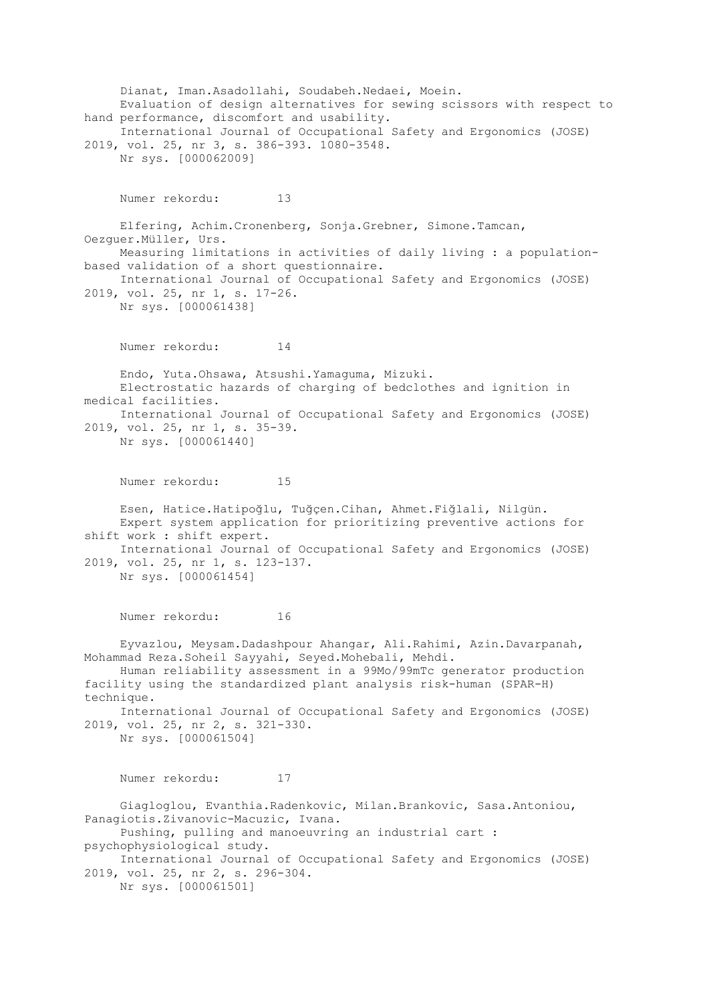Dianat, Iman.Asadollahi, Soudabeh.Nedaei, Moein. Evaluation of design alternatives for sewing scissors with respect to hand performance, discomfort and usability. International Journal of Occupational Safety and Ergonomics (JOSE) 2019, vol. 25, nr 3, s. 386-393. 1080-3548. Nr sys. [000062009] Numer rekordu: 13 Elfering, Achim.Cronenberg, Sonja.Grebner, Simone.Tamcan, Oezguer.Müller, Urs. Measuring limitations in activities of daily living : a populationbased validation of a short questionnaire. International Journal of Occupational Safety and Ergonomics (JOSE) 2019, vol. 25, nr 1, s. 17-26. Nr sys. [000061438] Numer rekordu: 14 Endo, Yuta.Ohsawa, Atsushi.Yamaguma, Mizuki. Electrostatic hazards of charging of bedclothes and ignition in medical facilities. International Journal of Occupational Safety and Ergonomics (JOSE) 2019, vol. 25, nr 1, s. 35-39. Nr sys. [000061440] Numer rekordu: 15 Esen, Hatice.Hatipoğlu, Tuğçen.Cihan, Ahmet.Fiğlali, Nilgün. Expert system application for prioritizing preventive actions for shift work : shift expert. International Journal of Occupational Safety and Ergonomics (JOSE) 2019, vol. 25, nr 1, s. 123-137. Nr sys. [000061454] Numer rekordu: 16 Eyvazlou, Meysam.Dadashpour Ahangar, Ali.Rahimi, Azin.Davarpanah, Mohammad Reza.Soheil Sayyahi, Seyed.Mohebali, Mehdi. Human reliability assessment in a 99Mo/99mTc generator production facility using the standardized plant analysis risk-human (SPAR-H) technique. International Journal of Occupational Safety and Ergonomics (JOSE) 2019, vol. 25, nr 2, s. 321-330. Nr sys. [000061504] Numer rekordu: 17 Giagloglou, Evanthia.Radenkovic, Milan.Brankovic, Sasa.Antoniou, Panagiotis.Zivanovic-Macuzic, Ivana. Pushing, pulling and manoeuvring an industrial cart : psychophysiological study. International Journal of Occupational Safety and Ergonomics (JOSE) 2019, vol. 25, nr 2, s. 296-304. Nr sys. [000061501]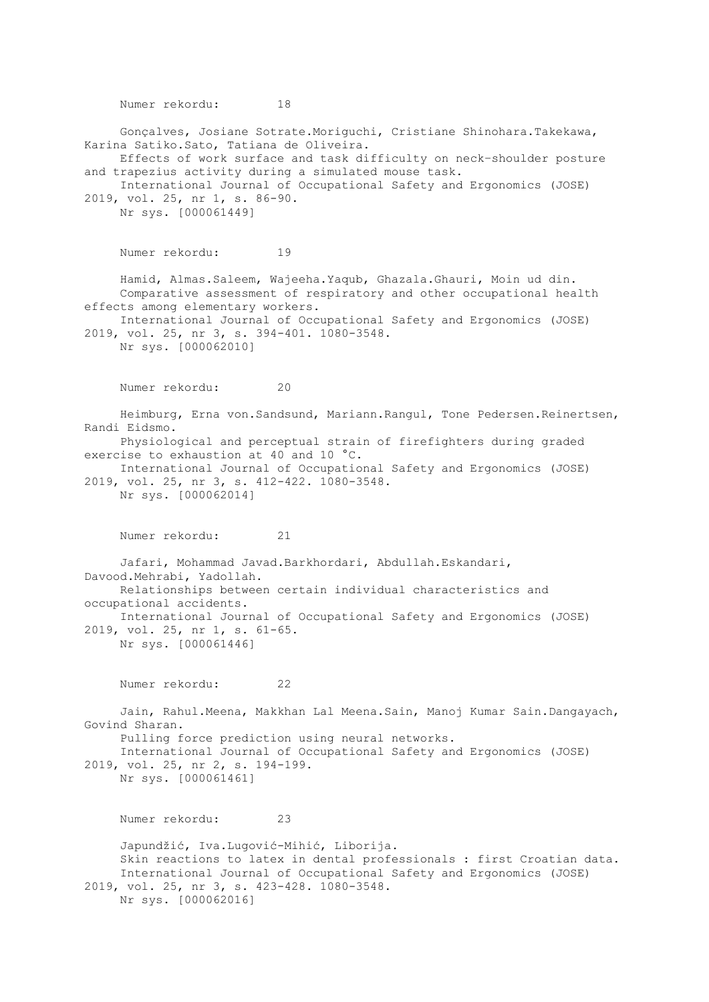Numer rekordu: 18 Gonçalves, Josiane Sotrate.Moriguchi, Cristiane Shinohara.Takekawa, Karina Satiko.Sato, Tatiana de Oliveira. Effects of work surface and task difficulty on neck–shoulder posture and trapezius activity during a simulated mouse task. International Journal of Occupational Safety and Ergonomics (JOSE) 2019, vol. 25, nr 1, s. 86-90. Nr sys. [000061449] Numer rekordu: 19 Hamid, Almas.Saleem, Wajeeha.Yaqub, Ghazala.Ghauri, Moin ud din. Comparative assessment of respiratory and other occupational health effects among elementary workers. International Journal of Occupational Safety and Ergonomics (JOSE) 2019, vol. 25, nr 3, s. 394-401. 1080-3548. Nr sys. [000062010] Numer rekordu: 20 Heimburg, Erna von.Sandsund, Mariann.Rangul, Tone Pedersen.Reinertsen, Randi Eidsmo. Physiological and perceptual strain of firefighters during graded exercise to exhaustion at 40 and 10 °C. International Journal of Occupational Safety and Ergonomics (JOSE) 2019, vol. 25, nr 3, s. 412-422. 1080-3548. Nr sys. [000062014] Numer rekordu: 21 Jafari, Mohammad Javad.Barkhordari, Abdullah.Eskandari, Davood.Mehrabi, Yadollah. Relationships between certain individual characteristics and occupational accidents. International Journal of Occupational Safety and Ergonomics (JOSE) 2019, vol. 25, nr 1, s. 61-65. Nr sys. [000061446] Numer rekordu: 22 Jain, Rahul.Meena, Makkhan Lal Meena.Sain, Manoj Kumar Sain.Dangayach, Govind Sharan. Pulling force prediction using neural networks. International Journal of Occupational Safety and Ergonomics (JOSE) 2019, vol. 25, nr 2, s. 194-199. Nr sys. [000061461] Numer rekordu: 23 Japundžić, Iva.Lugović-Mihić, Liborija. Skin reactions to latex in dental professionals : first Croatian data. International Journal of Occupational Safety and Ergonomics (JOSE) 2019, vol. 25, nr 3, s. 423-428. 1080-3548. Nr sys. [000062016]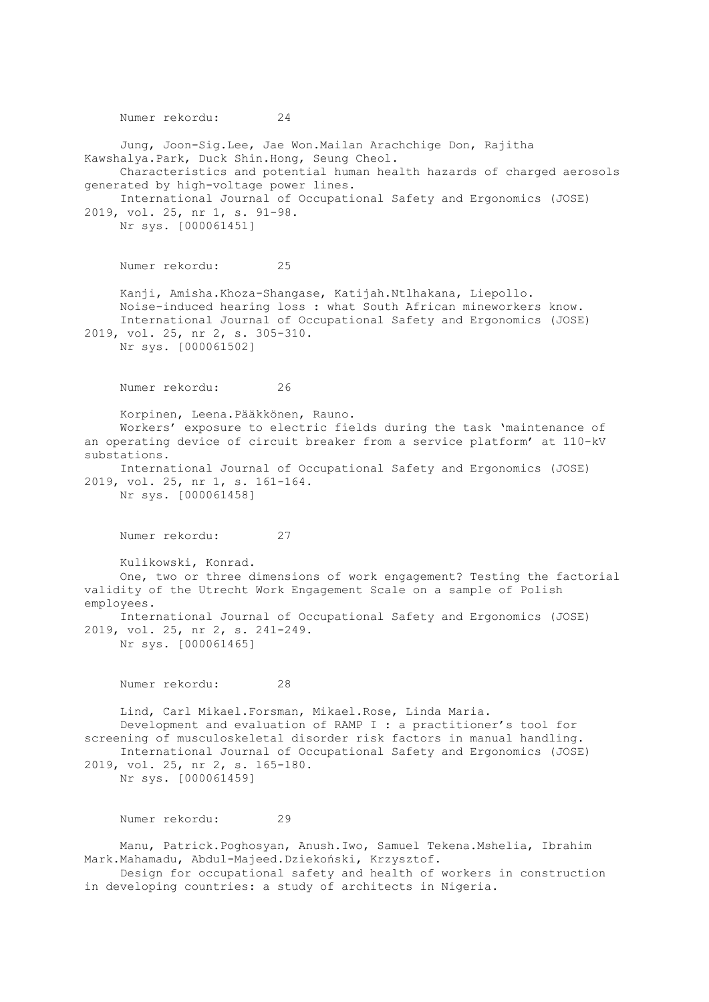Numer rekordu: 24 Jung, Joon-Sig.Lee, Jae Won.Mailan Arachchige Don, Rajitha Kawshalya.Park, Duck Shin.Hong, Seung Cheol. Characteristics and potential human health hazards of charged aerosols generated by high-voltage power lines. International Journal of Occupational Safety and Ergonomics (JOSE) 2019, vol. 25, nr 1, s. 91-98. Nr sys. [000061451] Numer rekordu: 25 Kanji, Amisha.Khoza-Shangase, Katijah.Ntlhakana, Liepollo. Noise-induced hearing loss : what South African mineworkers know. International Journal of Occupational Safety and Ergonomics (JOSE) 2019, vol. 25, nr 2, s. 305-310. Nr sys. [000061502] Numer rekordu: 26 Korpinen, Leena.Pääkkönen, Rauno. Workers' exposure to electric fields during the task 'maintenance of an operating device of circuit breaker from a service platform' at 110-kV substations. International Journal of Occupational Safety and Ergonomics (JOSE) 2019, vol. 25, nr 1, s. 161-164. Nr sys. [000061458] Numer rekordu: 27 Kulikowski, Konrad. One, two or three dimensions of work engagement? Testing the factorial validity of the Utrecht Work Engagement Scale on a sample of Polish employees. International Journal of Occupational Safety and Ergonomics (JOSE) 2019, vol. 25, nr 2, s. 241-249. Nr sys. [000061465] Numer rekordu: 28 Lind, Carl Mikael.Forsman, Mikael.Rose, Linda Maria. Development and evaluation of RAMP I : a practitioner's tool for screening of musculoskeletal disorder risk factors in manual handling. International Journal of Occupational Safety and Ergonomics (JOSE) 2019, vol. 25, nr 2, s. 165-180. Nr sys. [000061459] Numer rekordu: 29 Manu, Patrick.Poghosyan, Anush.Iwo, Samuel Tekena.Mshelia, Ibrahim Mark.Mahamadu, Abdul-Majeed.Dziekoński, Krzysztof. Design for occupational safety and health of workers in construction

in developing countries: a study of architects in Nigeria.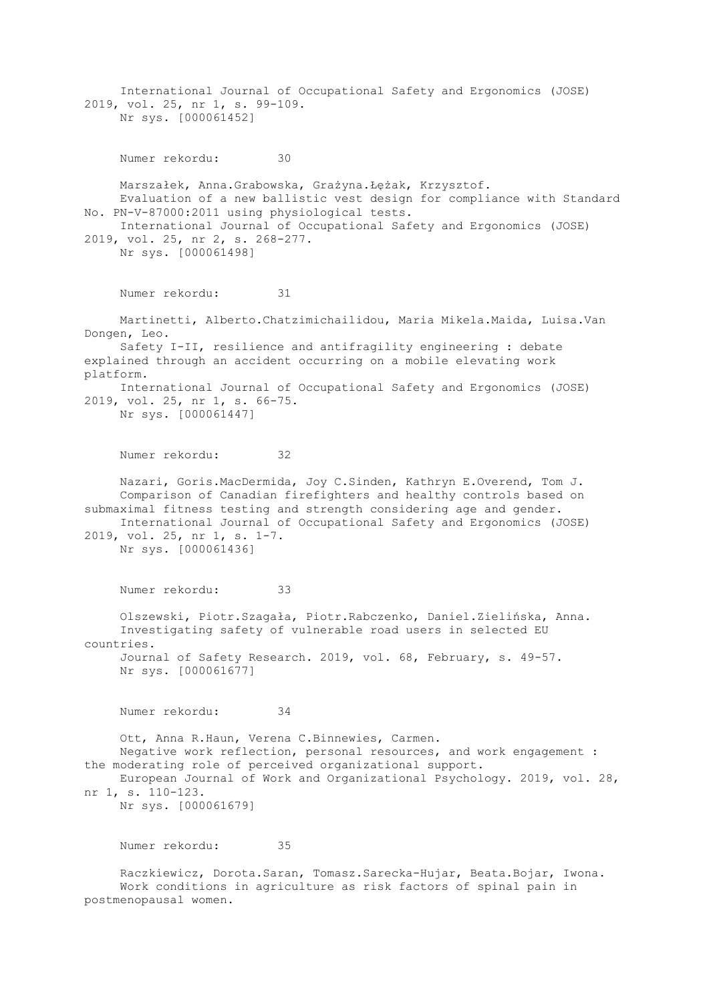International Journal of Occupational Safety and Ergonomics (JOSE) 2019, vol. 25, nr 1, s. 99-109. Nr sys. [000061452] Numer rekordu: 30 Marszałek, Anna.Grabowska, Grażyna.Łężak, Krzysztof. Evaluation of a new ballistic vest design for compliance with Standard No. PN-V-87000:2011 using physiological tests. International Journal of Occupational Safety and Ergonomics (JOSE) 2019, vol. 25, nr 2, s. 268-277. Nr sys. [000061498] Numer rekordu: 31 Martinetti, Alberto.Chatzimichailidou, Maria Mikela.Maida, Luisa.Van Dongen, Leo. Safety I-II, resilience and antifragility engineering : debate explained through an accident occurring on a mobile elevating work platform. International Journal of Occupational Safety and Ergonomics (JOSE) 2019, vol. 25, nr 1, s. 66-75. Nr sys. [000061447] Numer rekordu: 32 Nazari, Goris.MacDermida, Joy C.Sinden, Kathryn E.Overend, Tom J. Comparison of Canadian firefighters and healthy controls based on submaximal fitness testing and strength considering age and gender. International Journal of Occupational Safety and Ergonomics (JOSE) 2019, vol. 25, nr 1, s. 1-7. Nr sys. [000061436] Numer rekordu: 33 Olszewski, Piotr.Szagała, Piotr.Rabczenko, Daniel.Zielińska, Anna. Investigating safety of vulnerable road users in selected EU countries. Journal of Safety Research. 2019, vol. 68, February, s. 49-57. Nr sys. [000061677] Numer rekordu: 34 Ott, Anna R.Haun, Verena C.Binnewies, Carmen. Negative work reflection, personal resources, and work engagement : the moderating role of perceived organizational support. European Journal of Work and Organizational Psychology. 2019, vol. 28, nr 1, s. 110-123. Nr sys. [000061679] Numer rekordu: 35 Raczkiewicz, Dorota.Saran, Tomasz.Sarecka-Hujar, Beata.Bojar, Iwona. Work conditions in agriculture as risk factors of spinal pain in

postmenopausal women.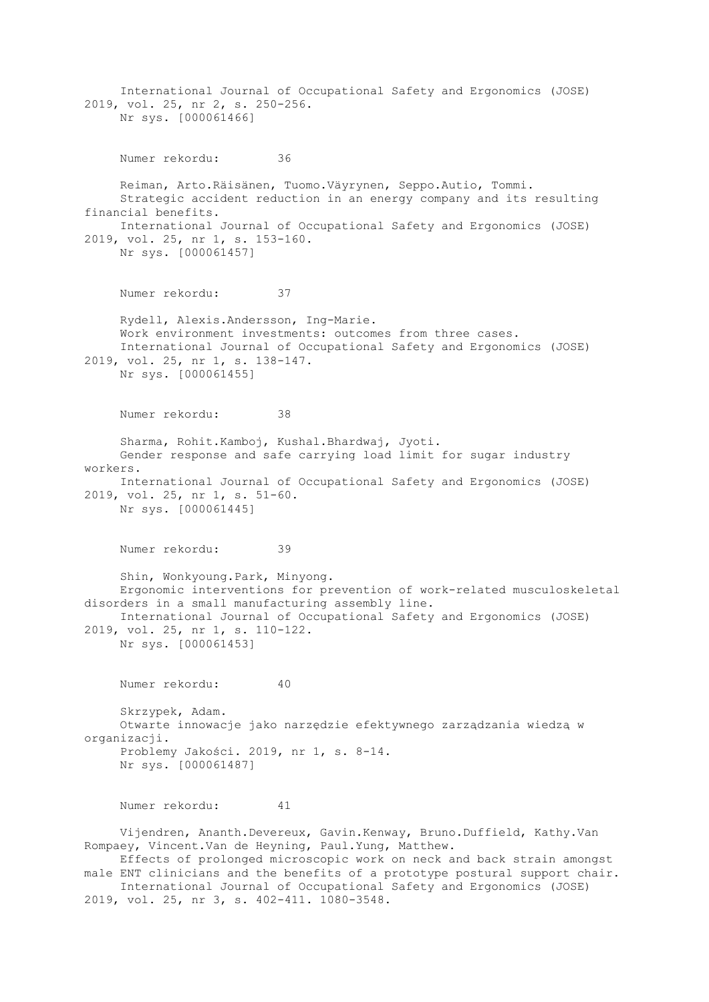International Journal of Occupational Safety and Ergonomics (JOSE) 2019, vol. 25, nr 2, s. 250-256. Nr sys. [000061466] Numer rekordu: 36 Reiman, Arto.Räisänen, Tuomo.Väyrynen, Seppo.Autio, Tommi. Strategic accident reduction in an energy company and its resulting financial benefits. International Journal of Occupational Safety and Ergonomics (JOSE) 2019, vol. 25, nr 1, s. 153-160. Nr sys. [000061457] Numer rekordu: 37 Rydell, Alexis.Andersson, Ing-Marie. Work environment investments: outcomes from three cases. International Journal of Occupational Safety and Ergonomics (JOSE) 2019, vol. 25, nr 1, s. 138-147. Nr sys. [000061455] Numer rekordu: 38 Sharma, Rohit.Kamboj, Kushal.Bhardwaj, Jyoti. Gender response and safe carrying load limit for sugar industry workers. International Journal of Occupational Safety and Ergonomics (JOSE) 2019, vol. 25, nr 1, s. 51-60. Nr sys. [000061445] Numer rekordu: 39 Shin, Wonkyoung.Park, Minyong. Ergonomic interventions for prevention of work-related musculoskeletal disorders in a small manufacturing assembly line. International Journal of Occupational Safety and Ergonomics (JOSE) 2019, vol. 25, nr 1, s. 110-122. Nr sys. [000061453] Numer rekordu: 40 Skrzypek, Adam. Otwarte innowacje jako narzędzie efektywnego zarządzania wiedzą w organizacji. Problemy Jakości. 2019, nr 1, s. 8-14. Nr sys. [000061487] Numer rekordu: 41 Vijendren, Ananth.Devereux, Gavin.Kenway, Bruno.Duffield, Kathy.Van Rompaey, Vincent.Van de Heyning, Paul.Yung, Matthew. Effects of prolonged microscopic work on neck and back strain amongst male ENT clinicians and the benefits of a prototype postural support chair. International Journal of Occupational Safety and Ergonomics (JOSE) 2019, vol. 25, nr 3, s. 402-411. 1080-3548.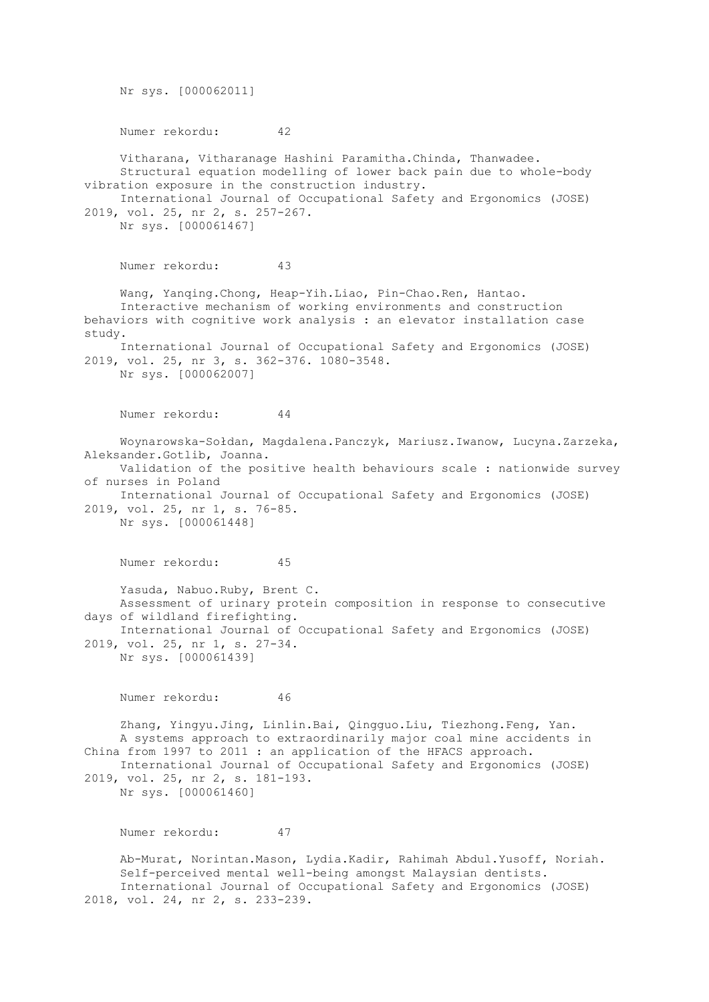Nr sys. [000062011] Numer rekordu: 42 Vitharana, Vitharanage Hashini Paramitha.Chinda, Thanwadee. Structural equation modelling of lower back pain due to whole-body vibration exposure in the construction industry. International Journal of Occupational Safety and Ergonomics (JOSE) 2019, vol. 25, nr 2, s. 257-267. Nr sys. [000061467] Numer rekordu: 43 Wang, Yanqing.Chong, Heap-Yih.Liao, Pin-Chao.Ren, Hantao. Interactive mechanism of working environments and construction behaviors with cognitive work analysis : an elevator installation case study. International Journal of Occupational Safety and Ergonomics (JOSE) 2019, vol. 25, nr 3, s. 362-376. 1080-3548. Nr sys. [000062007] Numer rekordu: 44 Woynarowska-Sołdan, Magdalena.Panczyk, Mariusz.Iwanow, Lucyna.Zarzeka, Aleksander.Gotlib, Joanna. Validation of the positive health behaviours scale : nationwide survey of nurses in Poland International Journal of Occupational Safety and Ergonomics (JOSE) 2019, vol. 25, nr 1, s. 76-85. Nr sys. [000061448] Numer rekordu: 45 Yasuda, Nabuo.Ruby, Brent C. Assessment of urinary protein composition in response to consecutive days of wildland firefighting. International Journal of Occupational Safety and Ergonomics (JOSE) 2019, vol. 25, nr 1, s. 27-34. Nr sys. [000061439] Numer rekordu: 46 Zhang, Yingyu.Jing, Linlin.Bai, Qingguo.Liu, Tiezhong.Feng, Yan. A systems approach to extraordinarily major coal mine accidents in China from 1997 to 2011 : an application of the HFACS approach. International Journal of Occupational Safety and Ergonomics (JOSE) 2019, vol. 25, nr 2, s. 181-193. Nr sys. [000061460] Numer rekordu: 47

 Ab-Murat, Norintan.Mason, Lydia.Kadir, Rahimah Abdul.Yusoff, Noriah. Self-perceived mental well-being amongst Malaysian dentists. International Journal of Occupational Safety and Ergonomics (JOSE) 2018, vol. 24, nr 2, s. 233-239.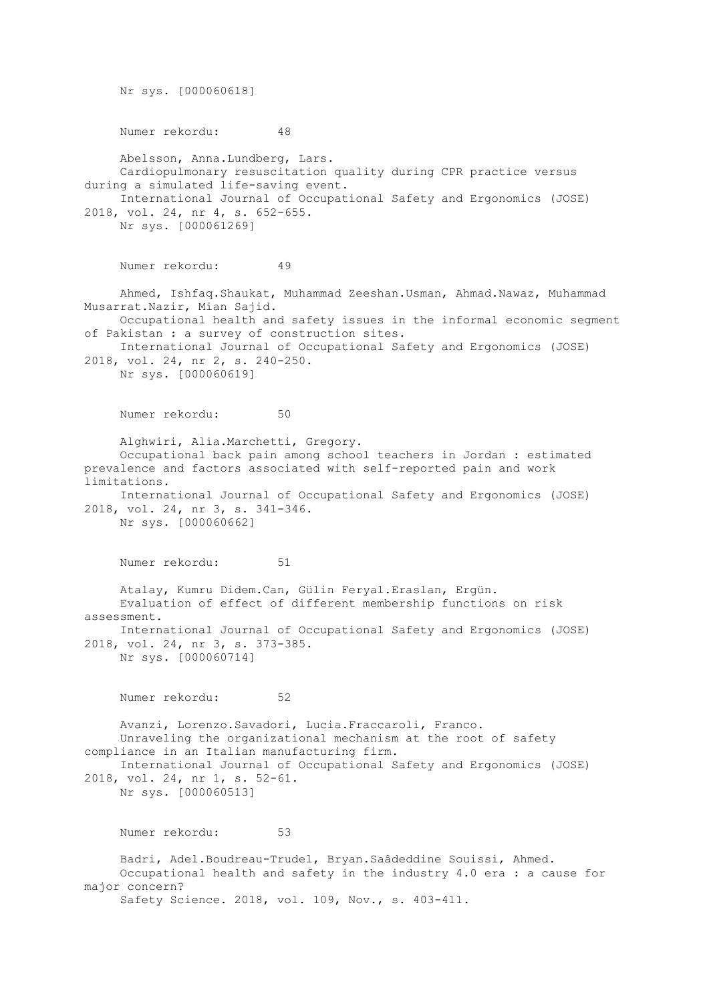Nr sys. [000060618] Numer rekordu: 48 Abelsson, Anna.Lundberg, Lars. Cardiopulmonary resuscitation quality during CPR practice versus during a simulated life-saving event. International Journal of Occupational Safety and Ergonomics (JOSE) 2018, vol. 24, nr 4, s. 652-655. Nr sys. [000061269] Numer rekordu: 49 Ahmed, Ishfaq.Shaukat, Muhammad Zeeshan.Usman, Ahmad.Nawaz, Muhammad Musarrat.Nazir, Mian Sajid. Occupational health and safety issues in the informal economic segment of Pakistan : a survey of construction sites. International Journal of Occupational Safety and Ergonomics (JOSE) 2018, vol. 24, nr 2, s. 240-250. Nr sys. [000060619] Numer rekordu: 50 Alghwiri, Alia.Marchetti, Gregory. Occupational back pain among school teachers in Jordan : estimated prevalence and factors associated with self-reported pain and work limitations. International Journal of Occupational Safety and Ergonomics (JOSE) 2018, vol. 24, nr 3, s. 341-346. Nr sys. [000060662] Numer rekordu: 51 Atalay, Kumru Didem.Can, Gülin Feryal.Eraslan, Ergün. Evaluation of effect of different membership functions on risk assessment. International Journal of Occupational Safety and Ergonomics (JOSE) 2018, vol. 24, nr 3, s. 373-385. Nr sys. [000060714] Numer rekordu: 52 Avanzi, Lorenzo.Savadori, Lucia.Fraccaroli, Franco. Unraveling the organizational mechanism at the root of safety compliance in an Italian manufacturing firm. International Journal of Occupational Safety and Ergonomics (JOSE) 2018, vol. 24, nr 1, s. 52-61. Nr sys. [000060513] Numer rekordu: 53 Badri, Adel.Boudreau-Trudel, Bryan.Saâdeddine Souissi, Ahmed. Occupational health and safety in the industry 4.0 era : a cause for major concern? Safety Science. 2018, vol. 109, Nov., s. 403-411.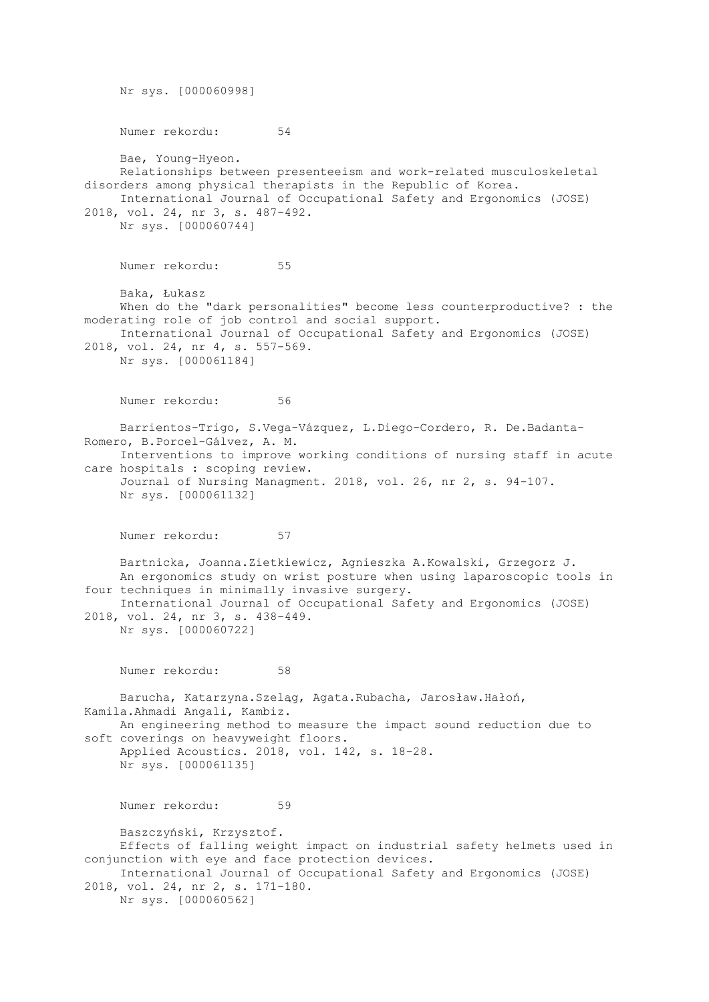Nr sys. [000060998] Numer rekordu: 54 Bae, Young-Hyeon. Relationships between presenteeism and work-related musculoskeletal disorders among physical therapists in the Republic of Korea. International Journal of Occupational Safety and Ergonomics (JOSE) 2018, vol. 24, nr 3, s. 487-492. Nr sys. [000060744] Numer rekordu: 55 Baka, Łukasz When do the "dark personalities" become less counterproductive? : the moderating role of job control and social support. International Journal of Occupational Safety and Ergonomics (JOSE) 2018, vol. 24, nr 4, s. 557-569. Nr sys. [000061184] Numer rekordu: 56 Barrientos-Trigo, S.Vega-Vázquez, L.Diego-Cordero, R. De.Badanta-Romero, B.Porcel-Gálvez, A. M. Interventions to improve working conditions of nursing staff in acute care hospitals : scoping review. Journal of Nursing Managment. 2018, vol. 26, nr 2, s. 94-107. Nr sys. [000061132] Numer rekordu: 57 Bartnicka, Joanna.Zietkiewicz, Agnieszka A.Kowalski, Grzegorz J. An ergonomics study on wrist posture when using laparoscopic tools in four techniques in minimally invasive surgery. International Journal of Occupational Safety and Ergonomics (JOSE) 2018, vol. 24, nr 3, s. 438-449. Nr sys. [000060722] Numer rekordu: 58 Barucha, Katarzyna.Szeląg, Agata.Rubacha, Jarosław.Hałoń, Kamila.Ahmadi Angali, Kambiz. An engineering method to measure the impact sound reduction due to soft coverings on heavyweight floors. Applied Acoustics. 2018, vol. 142, s. 18-28. Nr sys. [000061135] Numer rekordu: 59 Baszczyński, Krzysztof. Effects of falling weight impact on industrial safety helmets used in conjunction with eye and face protection devices. International Journal of Occupational Safety and Ergonomics (JOSE) 2018, vol. 24, nr 2, s. 171-180. Nr sys. [000060562]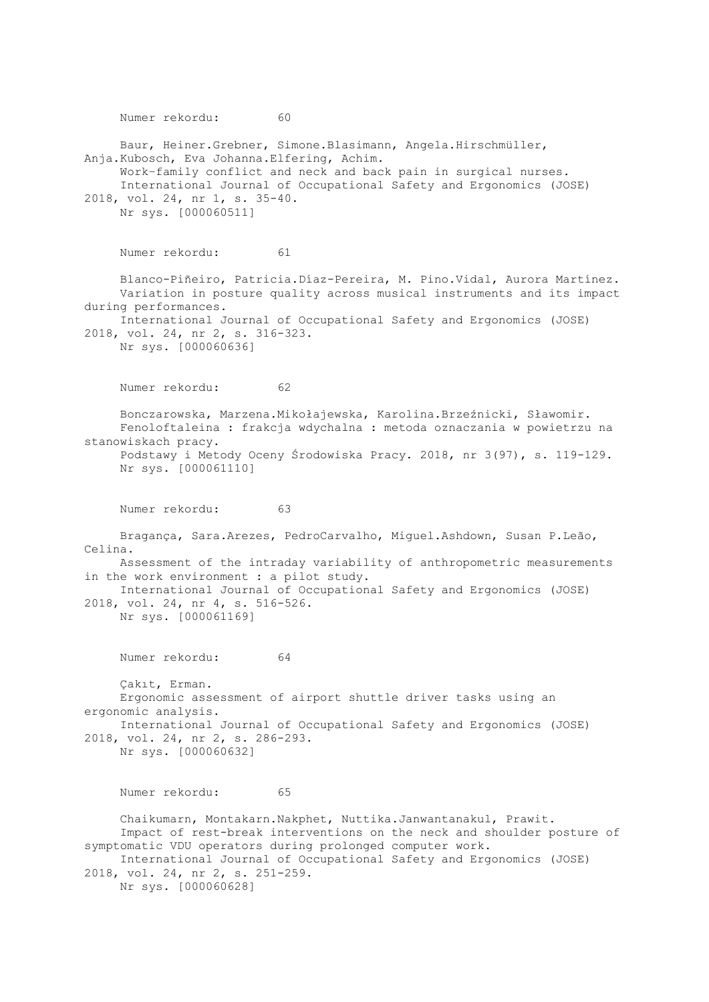Numer rekordu: 60 Baur, Heiner.Grebner, Simone.Blasimann, Angela.Hirschmüller, Anja.Kubosch, Eva Johanna.Elfering, Achim. Work–family conflict and neck and back pain in surgical nurses. International Journal of Occupational Safety and Ergonomics (JOSE) 2018, vol. 24, nr 1, s. 35-40. Nr sys. [000060511] Numer rekordu: 61 Blanco-Piñeiro, Patricia.Díaz-Pereira, M. Pino.Vidal, Aurora Martínez. Variation in posture quality across musical instruments and its impact during performances. International Journal of Occupational Safety and Ergonomics (JOSE) 2018, vol. 24, nr 2, s. 316-323. Nr sys. [000060636] Numer rekordu: 62 Bonczarowska, Marzena.Mikołajewska, Karolina.Brzeźnicki, Sławomir. Fenoloftaleina : frakcja wdychalna : metoda oznaczania w powietrzu na stanowiskach pracy. Podstawy i Metody Oceny Środowiska Pracy. 2018, nr 3(97), s. 119-129. Nr sys. [000061110] Numer rekordu: 63 Bragança, Sara.Arezes, PedroCarvalho, Miguel.Ashdown, Susan P.Leão, Celina. Assessment of the intraday variability of anthropometric measurements in the work environment : a pilot study. International Journal of Occupational Safety and Ergonomics (JOSE) 2018, vol. 24, nr 4, s. 516-526. Nr sys. [000061169] Numer rekordu: 64 Çakıt, Erman. Ergonomic assessment of airport shuttle driver tasks using an ergonomic analysis. International Journal of Occupational Safety and Ergonomics (JOSE) 2018, vol. 24, nr 2, s. 286-293. Nr sys. [000060632] Numer rekordu: 65 Chaikumarn, Montakarn.Nakphet, Nuttika.Janwantanakul, Prawit. Impact of rest-break interventions on the neck and shoulder posture of symptomatic VDU operators during prolonged computer work. International Journal of Occupational Safety and Ergonomics (JOSE) 2018, vol. 24, nr 2, s. 251-259. Nr sys. [000060628]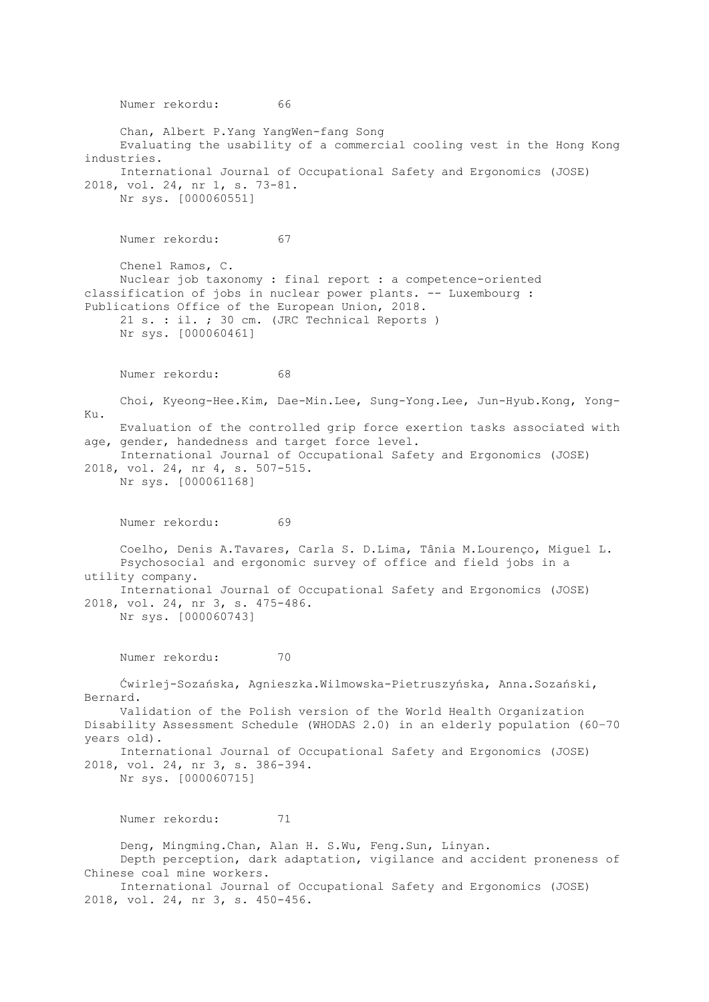Numer rekordu: 66 Chan, Albert P.Yang YangWen-fang Song Evaluating the usability of a commercial cooling vest in the Hong Kong industries. International Journal of Occupational Safety and Ergonomics (JOSE) 2018, vol. 24, nr 1, s. 73-81. Nr sys. [000060551] Numer rekordu: 67 Chenel Ramos, C. Nuclear job taxonomy : final report : a competence-oriented classification of jobs in nuclear power plants. -- Luxembourg : Publications Office of the European Union, 2018. 21 s. : il. ; 30 cm. (JRC Technical Reports ) Nr sys. [000060461] Numer rekordu: 68 Choi, Kyeong-Hee.Kim, Dae-Min.Lee, Sung-Yong.Lee, Jun-Hyub.Kong, Yong-Ku. Evaluation of the controlled grip force exertion tasks associated with age, gender, handedness and target force level. International Journal of Occupational Safety and Ergonomics (JOSE) 2018, vol. 24, nr 4, s. 507-515. Nr sys. [000061168] Numer rekordu: 69 Coelho, Denis A.Tavares, Carla S. D.Lima, Tânia M.Lourenço, Miguel L. Psychosocial and ergonomic survey of office and field jobs in a utility company. International Journal of Occupational Safety and Ergonomics (JOSE) 2018, vol. 24, nr 3, s. 475-486. Nr sys. [000060743] Numer rekordu: 70 Ćwirlej-Sozańska, Agnieszka.Wilmowska-Pietruszyńska, Anna.Sozański, Bernard. Validation of the Polish version of the World Health Organization Disability Assessment Schedule (WHODAS 2.0) in an elderly population (60–70 years old). International Journal of Occupational Safety and Ergonomics (JOSE) 2018, vol. 24, nr 3, s. 386-394. Nr sys. [000060715] Numer rekordu: 71 Deng, Mingming.Chan, Alan H. S.Wu, Feng.Sun, Linyan. Depth perception, dark adaptation, vigilance and accident proneness of Chinese coal mine workers. International Journal of Occupational Safety and Ergonomics (JOSE)

2018, vol. 24, nr 3, s. 450-456.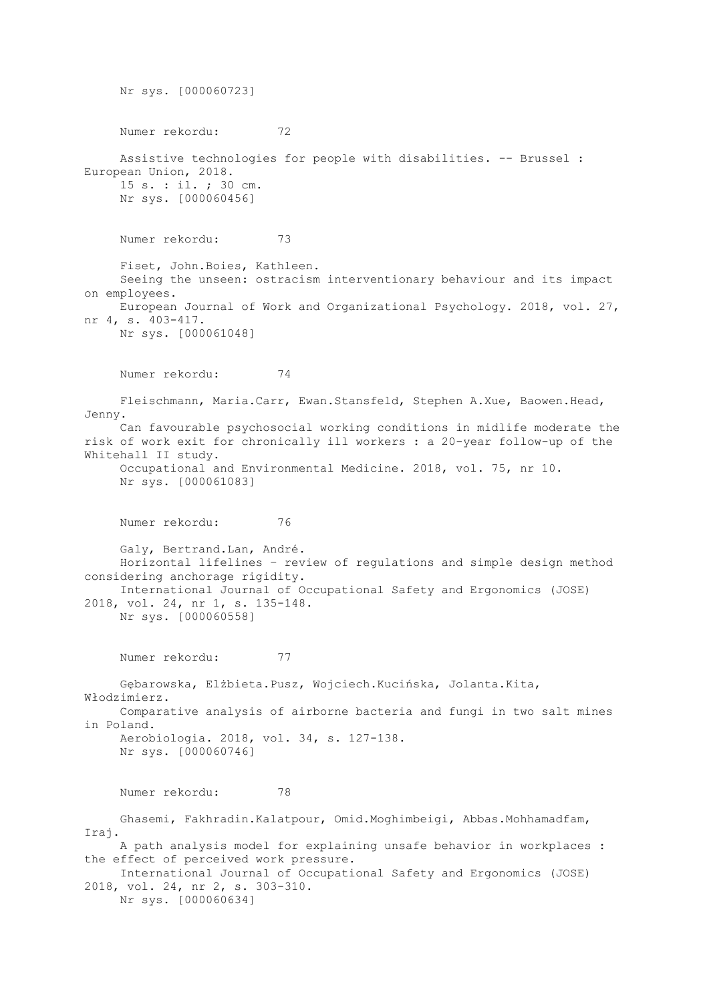Nr sys. [000060723] Numer rekordu: 72 Assistive technologies for people with disabilities. -- Brussel : European Union, 2018. 15 s. : il. ; 30 cm. Nr sys. [000060456] Numer rekordu: 73 Fiset, John.Boies, Kathleen. Seeing the unseen: ostracism interventionary behaviour and its impact on employees. European Journal of Work and Organizational Psychology. 2018, vol. 27, nr 4, s. 403-417. Nr sys. [000061048] Numer rekordu: 74 Fleischmann, Maria.Carr, Ewan.Stansfeld, Stephen A.Xue, Baowen.Head, Jenny. Can favourable psychosocial working conditions in midlife moderate the risk of work exit for chronically ill workers : a 20-year follow-up of the Whitehall II study. Occupational and Environmental Medicine. 2018, vol. 75, nr 10. Nr sys. [000061083] Numer rekordu: 76 Galy, Bertrand.Lan, André. Horizontal lifelines – review of regulations and simple design method considering anchorage rigidity. International Journal of Occupational Safety and Ergonomics (JOSE) 2018, vol. 24, nr 1, s. 135-148. Nr sys. [000060558] Numer rekordu: 77 Gębarowska, Elżbieta.Pusz, Wojciech.Kucińska, Jolanta.Kita, Włodzimierz. Comparative analysis of airborne bacteria and fungi in two salt mines in Poland. Aerobiologia. 2018, vol. 34, s. 127-138. Nr sys. [000060746] Numer rekordu: 78 Ghasemi, Fakhradin.Kalatpour, Omid.Moghimbeigi, Abbas.Mohhamadfam, Iraj. A path analysis model for explaining unsafe behavior in workplaces : the effect of perceived work pressure. International Journal of Occupational Safety and Ergonomics (JOSE) 2018, vol. 24, nr 2, s. 303-310. Nr sys. [000060634]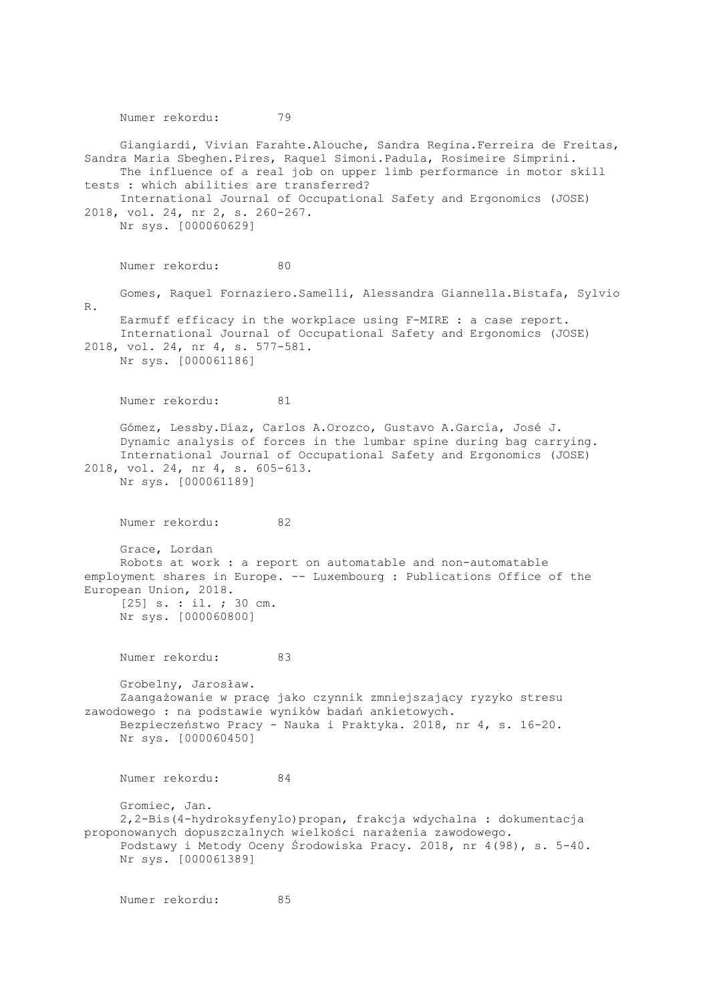Numer rekordu: 79 Giangiardi, Vivian Farahte.Alouche, Sandra Regina.Ferreira de Freitas, Sandra Maria Sbeghen.Pires, Raquel Simoni.Padula, Rosimeire Simprini. The influence of a real job on upper limb performance in motor skill tests : which abilities are transferred? International Journal of Occupational Safety and Ergonomics (JOSE) 2018, vol. 24, nr 2, s. 260-267. Nr sys. [000060629] Numer rekordu: 80 Gomes, Raquel Fornaziero.Samelli, Alessandra Giannella.Bistafa, Sylvio R. Earmuff efficacy in the workplace using F-MIRE : a case report. International Journal of Occupational Safety and Ergonomics (JOSE) 2018, vol. 24, nr 4, s. 577-581. Nr sys. [000061186] Numer rekordu: 81 Gómez, Lessby.Díaz, Carlos A.Orozco, Gustavo A.García, José J. Dynamic analysis of forces in the lumbar spine during bag carrying. International Journal of Occupational Safety and Ergonomics (JOSE) 2018, vol. 24, nr 4, s. 605-613. Nr sys. [000061189] Numer rekordu: 82 Grace, Lordan Robots at work : a report on automatable and non-automatable employment shares in Europe. -- Luxembourg : Publications Office of the European Union, 2018. [25] s. : il. ; 30 cm. Nr sys. [000060800] Numer rekordu: 83 Grobelny, Jarosław. Zaangażowanie w pracę jako czynnik zmniejszający ryzyko stresu zawodowego : na podstawie wyników badań ankietowych. Bezpieczeństwo Pracy - Nauka i Praktyka. 2018, nr 4, s. 16-20. Nr sys. [000060450] Numer rekordu: 84 Gromiec, Jan. 2,2-Bis(4-hydroksyfenylo)propan, frakcja wdychalna : dokumentacja proponowanych dopuszczalnych wielkości narażenia zawodowego. Podstawy i Metody Oceny Środowiska Pracy. 2018, nr 4(98), s. 5-40. Nr sys. [000061389] Numer rekordu: 85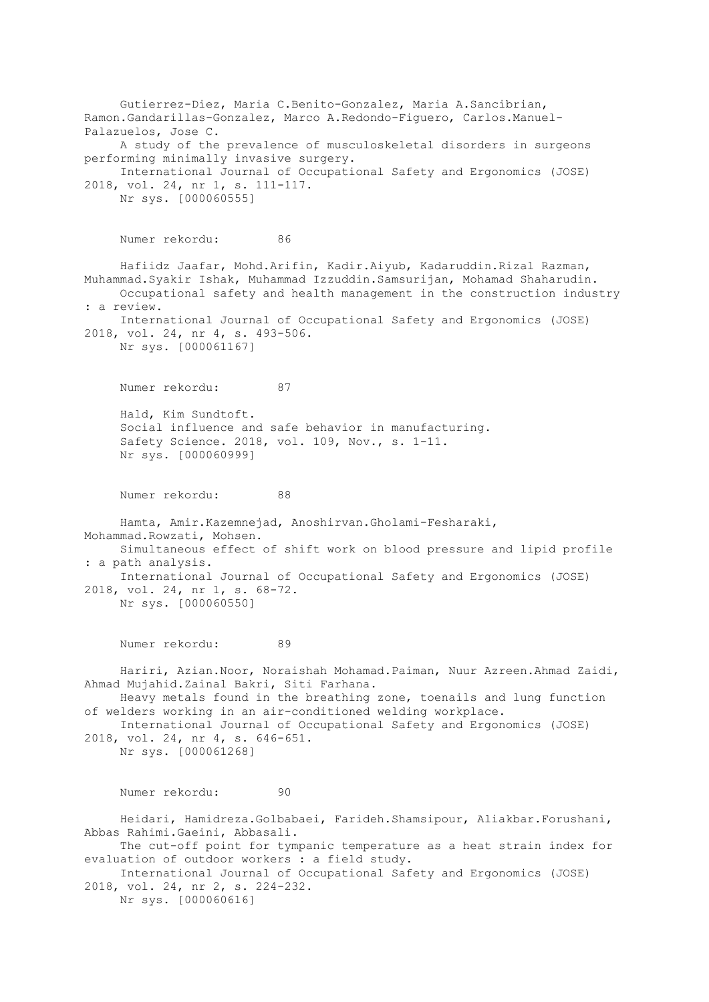Gutierrez-Diez, Maria C.Benito-Gonzalez, Maria A.Sancibrian, Ramon.Gandarillas-Gonzalez, Marco A.Redondo-Figuero, Carlos.Manuel-Palazuelos, Jose C. A study of the prevalence of musculoskeletal disorders in surgeons performing minimally invasive surgery. International Journal of Occupational Safety and Ergonomics (JOSE) 2018, vol. 24, nr 1, s. 111-117. Nr sys. [000060555] Numer rekordu: 86 Hafiidz Jaafar, Mohd.Arifin, Kadir.Aiyub, Kadaruddin.Rizal Razman, Muhammad.Syakir Ishak, Muhammad Izzuddin.Samsurijan, Mohamad Shaharudin. Occupational safety and health management in the construction industry : a review. International Journal of Occupational Safety and Ergonomics (JOSE) 2018, vol. 24, nr 4, s. 493-506. Nr sys. [000061167] Numer rekordu: 87 Hald, Kim Sundtoft. Social influence and safe behavior in manufacturing. Safety Science. 2018, vol. 109, Nov., s. 1-11. Nr sys. [000060999] Numer rekordu: 88 Hamta, Amir.Kazemnejad, Anoshirvan.Gholami-Fesharaki, Mohammad.Rowzati, Mohsen. Simultaneous effect of shift work on blood pressure and lipid profile : a path analysis. International Journal of Occupational Safety and Ergonomics (JOSE) 2018, vol. 24, nr 1, s. 68-72. Nr sys. [000060550] Numer rekordu: 89 Hariri, Azian.Noor, Noraishah Mohamad.Paiman, Nuur Azreen.Ahmad Zaidi, Ahmad Mujahid.Zainal Bakri, Siti Farhana. Heavy metals found in the breathing zone, toenails and lung function of welders working in an air-conditioned welding workplace. International Journal of Occupational Safety and Ergonomics (JOSE) 2018, vol. 24, nr 4, s. 646-651. Nr sys. [000061268] Numer rekordu: 90 Heidari, Hamidreza.Golbabaei, Farideh.Shamsipour, Aliakbar.Forushani, Abbas Rahimi.Gaeini, Abbasali. The cut-off point for tympanic temperature as a heat strain index for evaluation of outdoor workers : a field study. International Journal of Occupational Safety and Ergonomics (JOSE) 2018, vol. 24, nr 2, s. 224-232. Nr sys. [000060616]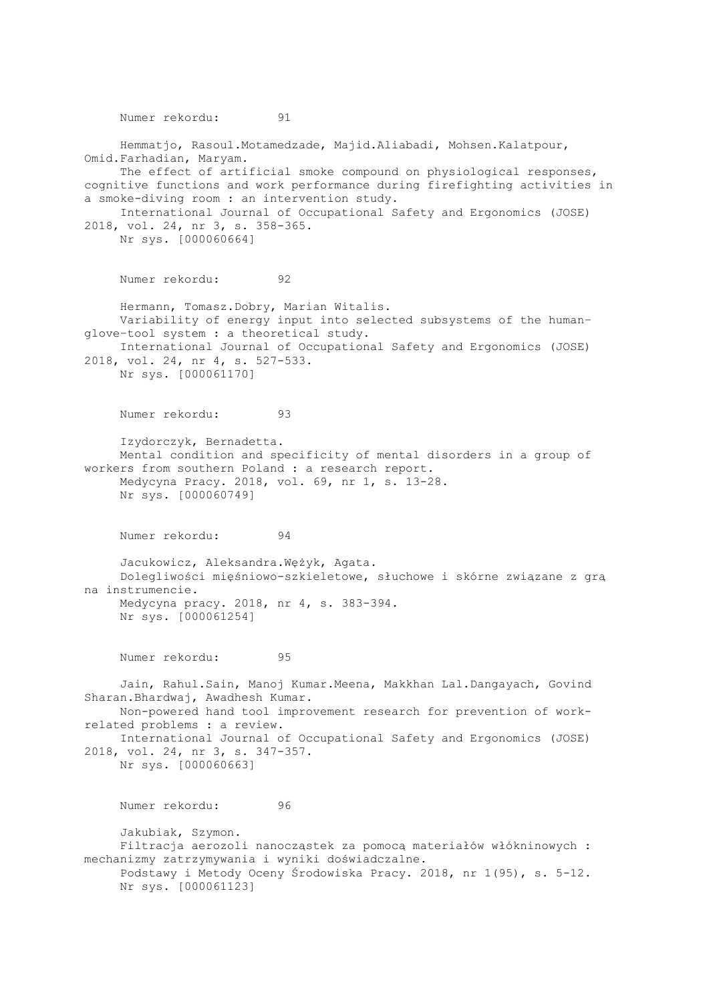Numer rekordu: 91 Hemmatjo, Rasoul.Motamedzade, Majid.Aliabadi, Mohsen.Kalatpour, Omid.Farhadian, Maryam. The effect of artificial smoke compound on physiological responses, cognitive functions and work performance during firefighting activities in a smoke-diving room : an intervention study. International Journal of Occupational Safety and Ergonomics (JOSE) 2018, vol. 24, nr 3, s. 358-365. Nr sys. [000060664] Numer rekordu: 92 Hermann, Tomasz.Dobry, Marian Witalis. Variability of energy input into selected subsystems of the human– glove–tool system : a theoretical study. International Journal of Occupational Safety and Ergonomics (JOSE) 2018, vol. 24, nr 4, s. 527-533. Nr sys. [000061170] Numer rekordu: 93 Izydorczyk, Bernadetta. Mental condition and specificity of mental disorders in a group of workers from southern Poland : a research report. Medycyna Pracy. 2018, vol. 69, nr 1, s. 13-28. Nr sys. [000060749] Numer rekordu: 94 Jacukowicz, Aleksandra.Wężyk, Agata. Dolegliwości mięśniowo-szkieletowe, słuchowe i skórne związane z grą na instrumencie. Medycyna pracy. 2018, nr 4, s. 383-394. Nr sys. [000061254] Numer rekordu: 95 Jain, Rahul.Sain, Manoj Kumar.Meena, Makkhan Lal.Dangayach, Govind Sharan.Bhardwaj, Awadhesh Kumar. Non-powered hand tool improvement research for prevention of workrelated problems : a review. International Journal of Occupational Safety and Ergonomics (JOSE) 2018, vol. 24, nr 3, s. 347-357. Nr sys. [000060663] Numer rekordu: 96 Jakubiak, Szymon. Filtracja aerozoli nanocząstek za pomocą materiałów włókninowych : mechanizmy zatrzymywania i wyniki doświadczalne. Podstawy i Metody Oceny Środowiska Pracy. 2018, nr 1(95), s. 5-12. Nr sys. [000061123]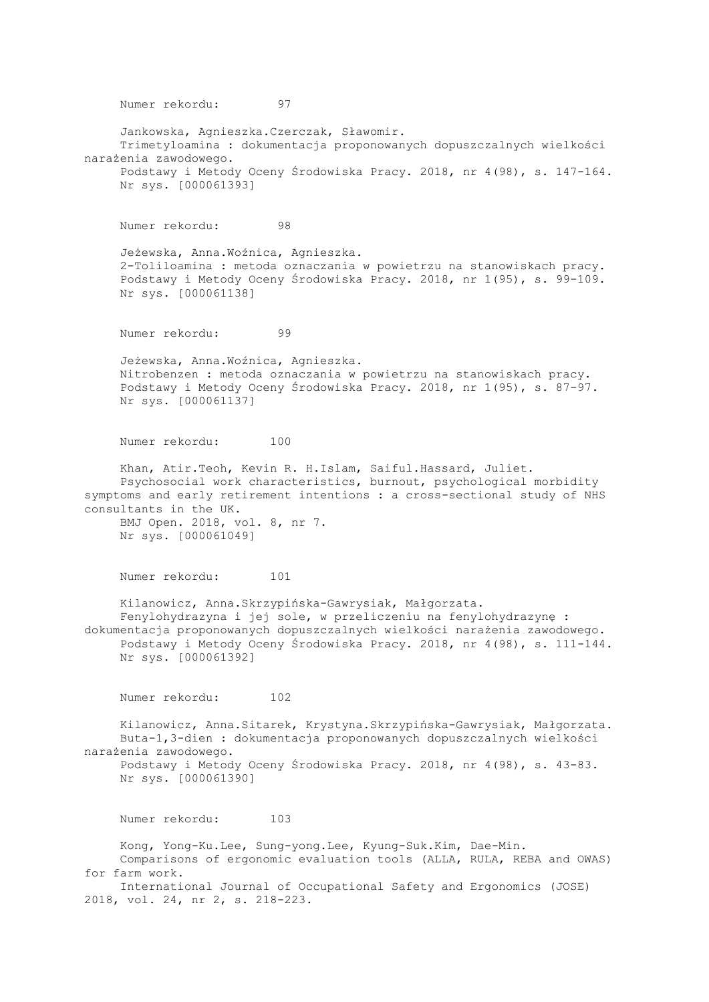Numer rekordu: 97 Jankowska, Agnieszka.Czerczak, Sławomir. Trimetyloamina : dokumentacja proponowanych dopuszczalnych wielkości narażenia zawodowego. Podstawy i Metody Oceny Środowiska Pracy. 2018, nr 4(98), s. 147-164. Nr sys. [000061393] Numer rekordu: 98 Jeżewska, Anna.Woźnica, Agnieszka. 2-Toliloamina : metoda oznaczania w powietrzu na stanowiskach pracy. Podstawy i Metody Oceny Środowiska Pracy. 2018, nr 1(95), s. 99-109. Nr sys. [000061138] Numer rekordu: 99 Jeżewska, Anna.Woźnica, Agnieszka. Nitrobenzen : metoda oznaczania w powietrzu na stanowiskach pracy. Podstawy i Metody Oceny Środowiska Pracy. 2018, nr 1(95), s. 87-97. Nr sys. [000061137] Numer rekordu: 100 Khan, Atir.Teoh, Kevin R. H.Islam, Saiful.Hassard, Juliet. Psychosocial work characteristics, burnout, psychological morbidity symptoms and early retirement intentions : a cross-sectional study of NHS consultants in the UK. BMJ Open. 2018, vol. 8, nr 7. Nr sys. [000061049] Numer rekordu: 101 Kilanowicz, Anna.Skrzypińska-Gawrysiak, Małgorzata. Fenylohydrazyna i jej sole, w przeliczeniu na fenylohydrazynę : dokumentacja proponowanych dopuszczalnych wielkości narażenia zawodowego. Podstawy i Metody Oceny Środowiska Pracy. 2018, nr 4(98), s. 111-144. Nr sys. [000061392] Numer rekordu: 102 Kilanowicz, Anna.Sitarek, Krystyna.Skrzypińska-Gawrysiak, Małgorzata. Buta-1,3-dien : dokumentacja proponowanych dopuszczalnych wielkości narażenia zawodowego. Podstawy i Metody Oceny Środowiska Pracy. 2018, nr 4(98), s. 43-83. Nr sys. [000061390] Numer rekordu: 103 Kong, Yong-Ku.Lee, Sung-yong.Lee, Kyung-Suk.Kim, Dae-Min. Comparisons of ergonomic evaluation tools (ALLA, RULA, REBA and OWAS) for farm work. International Journal of Occupational Safety and Ergonomics (JOSE) 2018, vol. 24, nr 2, s. 218-223.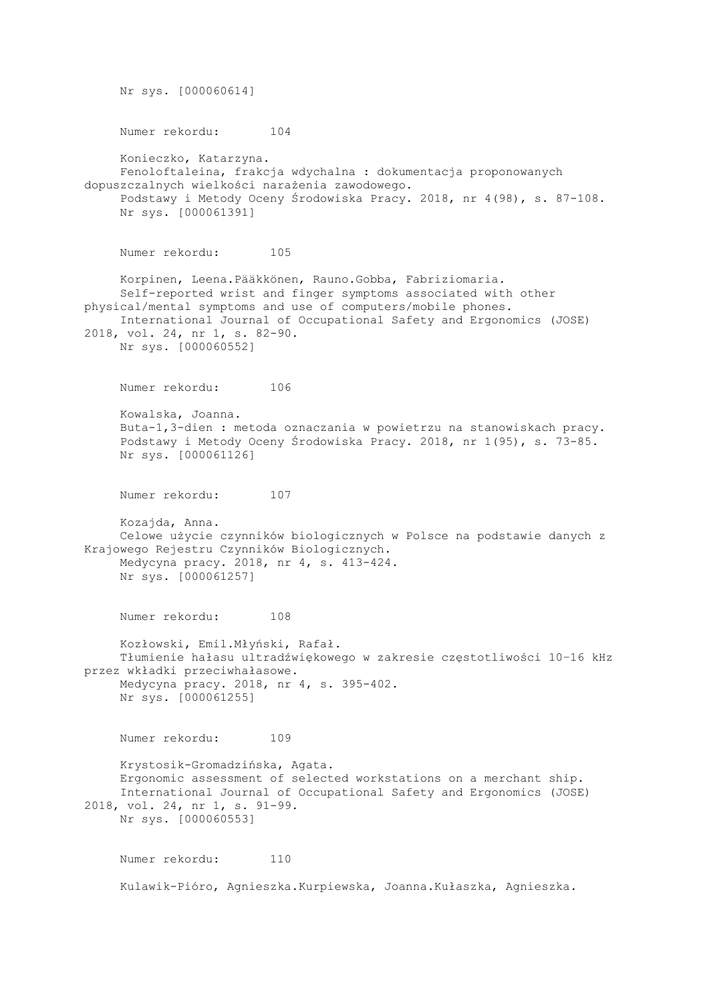Nr sys. [000060614] Numer rekordu: 104 Konieczko, Katarzyna. Fenoloftaleina, frakcja wdychalna : dokumentacja proponowanych dopuszczalnych wielkości narażenia zawodowego. Podstawy i Metody Oceny Środowiska Pracy. 2018, nr 4(98), s. 87-108. Nr sys. [000061391] Numer rekordu: 105 Korpinen, Leena.Pääkkönen, Rauno.Gobba, Fabriziomaria. Self-reported wrist and finger symptoms associated with other physical/mental symptoms and use of computers/mobile phones. International Journal of Occupational Safety and Ergonomics (JOSE) 2018, vol. 24, nr 1, s. 82-90. Nr sys. [000060552] Numer rekordu: 106 Kowalska, Joanna. Buta-1,3-dien : metoda oznaczania w powietrzu na stanowiskach pracy. Podstawy i Metody Oceny Środowiska Pracy. 2018, nr 1(95), s. 73-85. Nr sys. [000061126] Numer rekordu: 107 Kozajda, Anna. Celowe użycie czynników biologicznych w Polsce na podstawie danych z Krajowego Rejestru Czynników Biologicznych. Medycyna pracy. 2018, nr 4, s. 413-424. Nr sys. [000061257] Numer rekordu: 108 Kozłowski, Emil.Młyński, Rafał. Tłumienie hałasu ultradźwiękowego w zakresie częstotliwości 10–16 kHz przez wkładki przeciwhałasowe. Medycyna pracy. 2018, nr 4, s. 395-402. Nr sys. [000061255] Numer rekordu: 109 Krystosik-Gromadzińska, Agata. Ergonomic assessment of selected workstations on a merchant ship. International Journal of Occupational Safety and Ergonomics (JOSE) 2018, vol. 24, nr 1, s. 91-99. Nr sys. [000060553] Numer rekordu: 110 Kulawik-Pióro, Agnieszka.Kurpiewska, Joanna.Kułaszka, Agnieszka.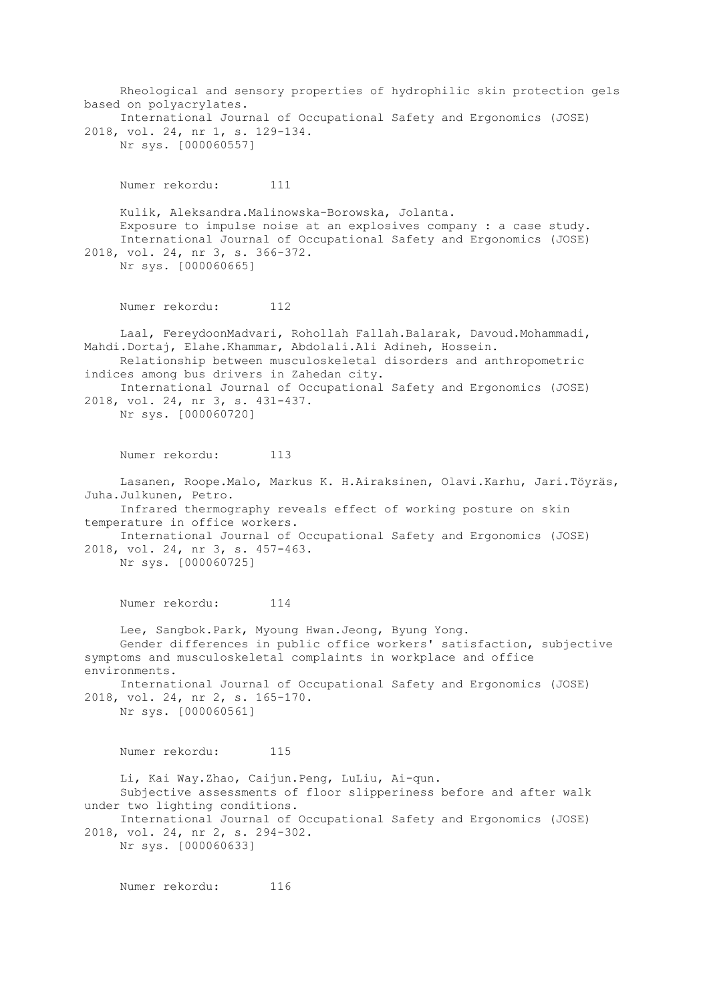Rheological and sensory properties of hydrophilic skin protection gels based on polyacrylates. International Journal of Occupational Safety and Ergonomics (JOSE) 2018, vol. 24, nr 1, s. 129-134. Nr sys. [000060557] Numer rekordu: 111 Kulik, Aleksandra.Malinowska-Borowska, Jolanta. Exposure to impulse noise at an explosives company : a case study. International Journal of Occupational Safety and Ergonomics (JOSE) 2018, vol. 24, nr 3, s. 366-372. Nr sys. [000060665] Numer rekordu: 112 Laal, FereydoonMadvari, Rohollah Fallah.Balarak, Davoud.Mohammadi, Mahdi.Dortaj, Elahe.Khammar, Abdolali.Ali Adineh, Hossein. Relationship between musculoskeletal disorders and anthropometric indices among bus drivers in Zahedan city. International Journal of Occupational Safety and Ergonomics (JOSE) 2018, vol. 24, nr 3, s. 431-437. Nr sys. [000060720] Numer rekordu: 113 Lasanen, Roope.Malo, Markus K. H.Airaksinen, Olavi.Karhu, Jari.Töyräs, Juha.Julkunen, Petro. Infrared thermography reveals effect of working posture on skin temperature in office workers. International Journal of Occupational Safety and Ergonomics (JOSE) 2018, vol. 24, nr 3, s. 457-463. Nr sys. [000060725] Numer rekordu: 114 Lee, Sangbok.Park, Myoung Hwan.Jeong, Byung Yong. Gender differences in public office workers' satisfaction, subjective symptoms and musculoskeletal complaints in workplace and office environments. International Journal of Occupational Safety and Ergonomics (JOSE) 2018, vol. 24, nr 2, s. 165-170. Nr sys. [000060561] Numer rekordu: 115 Li, Kai Way.Zhao, Caijun.Peng, LuLiu, Ai-qun. Subjective assessments of floor slipperiness before and after walk under two lighting conditions. International Journal of Occupational Safety and Ergonomics (JOSE) 2018, vol. 24, nr 2, s. 294-302. Nr sys. [000060633]

Numer rekordu: 116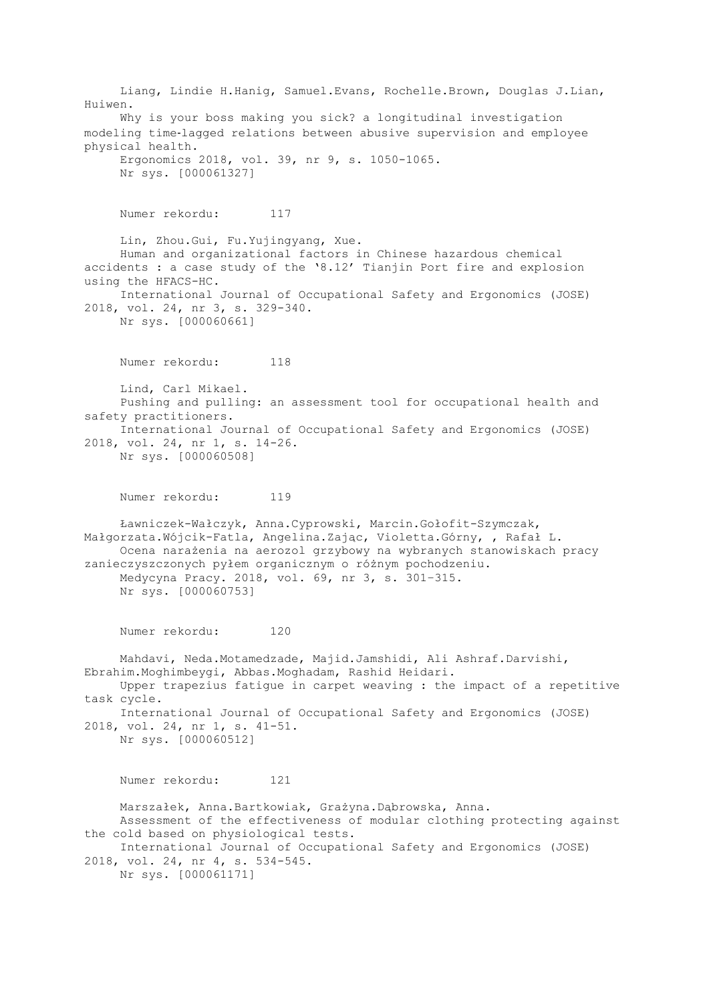Liang, Lindie H.Hanig, Samuel.Evans, Rochelle.Brown, Douglas J.Lian, Huiwen. Why is your boss making you sick? a longitudinal investigation modeling time‐lagged relations between abusive supervision and employee physical health. Ergonomics 2018, vol. 39, nr 9, s. 1050-1065. Nr sys. [000061327] Numer rekordu: 117 Lin, Zhou.Gui, Fu.Yujingyang, Xue. Human and organizational factors in Chinese hazardous chemical accidents : a case study of the '8.12' Tianjin Port fire and explosion using the HFACS-HC. International Journal of Occupational Safety and Ergonomics (JOSE) 2018, vol. 24, nr 3, s. 329-340. Nr sys. [000060661] Numer rekordu: 118 Lind, Carl Mikael. Pushing and pulling: an assessment tool for occupational health and safety practitioners. International Journal of Occupational Safety and Ergonomics (JOSE) 2018, vol. 24, nr 1, s. 14-26. Nr sys. [000060508] Numer rekordu: 119 Ławniczek-Wałczyk, Anna.Cyprowski, Marcin.Gołofit-Szymczak, Małgorzata.Wójcik-Fatla, Angelina.Zając, Violetta.Górny, , Rafał L. Ocena narażenia na aerozol grzybowy na wybranych stanowiskach pracy zanieczyszczonych pyłem organicznym o różnym pochodzeniu. Medycyna Pracy. 2018, vol. 69, nr 3, s. 301–315. Nr sys. [000060753] Numer rekordu: 120 Mahdavi, Neda.Motamedzade, Majid.Jamshidi, Ali Ashraf.Darvishi, Ebrahim.Moghimbeygi, Abbas.Moghadam, Rashid Heidari. Upper trapezius fatigue in carpet weaving : the impact of a repetitive task cycle. International Journal of Occupational Safety and Ergonomics (JOSE) 2018, vol. 24, nr 1, s. 41-51. Nr sys. [000060512] Numer rekordu: 121 Marszałek, Anna.Bartkowiak, Grażyna.Dąbrowska, Anna. Assessment of the effectiveness of modular clothing protecting against the cold based on physiological tests. International Journal of Occupational Safety and Ergonomics (JOSE) 2018, vol. 24, nr 4, s. 534-545. Nr sys. [000061171]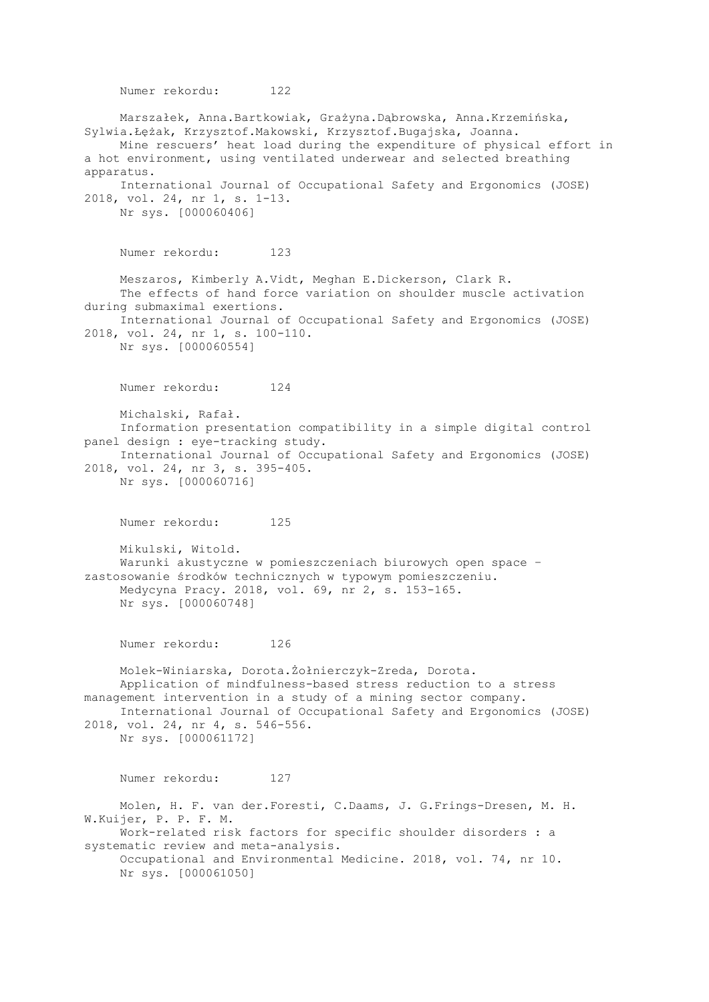Numer rekordu: 122 Marszałek, Anna.Bartkowiak, Grażyna.Dąbrowska, Anna.Krzemińska, Sylwia.Łężak, Krzysztof.Makowski, Krzysztof.Bugajska, Joanna. Mine rescuers' heat load during the expenditure of physical effort in a hot environment, using ventilated underwear and selected breathing apparatus. International Journal of Occupational Safety and Ergonomics (JOSE) 2018, vol. 24, nr 1, s. 1-13. Nr sys. [000060406] Numer rekordu: 123 Meszaros, Kimberly A.Vidt, Meghan E.Dickerson, Clark R. The effects of hand force variation on shoulder muscle activation during submaximal exertions. International Journal of Occupational Safety and Ergonomics (JOSE) 2018, vol. 24, nr 1, s. 100-110. Nr sys. [000060554] Numer rekordu: 124 Michalski, Rafał. Information presentation compatibility in a simple digital control panel design : eye-tracking study. International Journal of Occupational Safety and Ergonomics (JOSE) 2018, vol. 24, nr 3, s. 395-405. Nr sys. [000060716] Numer rekordu: 125 Mikulski, Witold. Warunki akustyczne w pomieszczeniach biurowych open space – zastosowanie środków technicznych w typowym pomieszczeniu. Medycyna Pracy. 2018, vol. 69, nr 2, s. 153-165. Nr sys. [000060748] Numer rekordu: 126 Molek-Winiarska, Dorota.Żołnierczyk-Zreda, Dorota. Application of mindfulness-based stress reduction to a stress management intervention in a study of a mining sector company. International Journal of Occupational Safety and Ergonomics (JOSE) 2018, vol. 24, nr 4, s. 546-556. Nr sys. [000061172] Numer rekordu: 127 Molen, H. F. van der.Foresti, C.Daams, J. G.Frings-Dresen, M. H. W.Kuijer, P. P. F. M. Work-related risk factors for specific shoulder disorders : a systematic review and meta-analysis. Occupational and Environmental Medicine. 2018, vol. 74, nr 10. Nr sys. [000061050]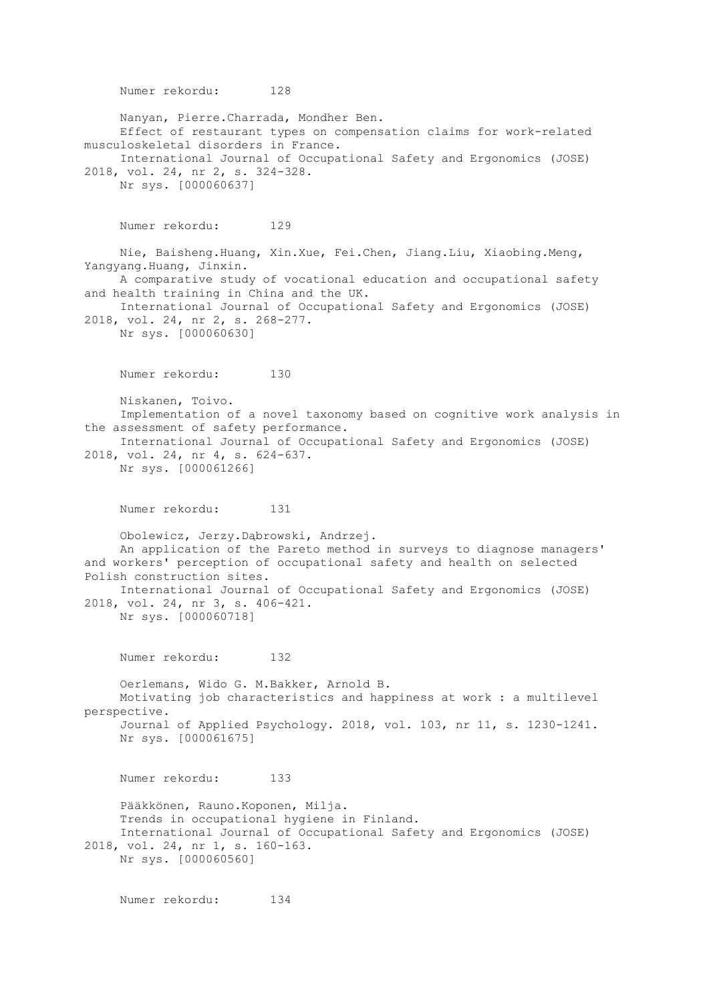Numer rekordu: 128 Nanyan, Pierre.Charrada, Mondher Ben. Effect of restaurant types on compensation claims for work-related musculoskeletal disorders in France. International Journal of Occupational Safety and Ergonomics (JOSE) 2018, vol. 24, nr 2, s. 324-328. Nr sys. [000060637] Numer rekordu: 129 Nie, Baisheng.Huang, Xin.Xue, Fei.Chen, Jiang.Liu, Xiaobing.Meng, Yangyang.Huang, Jinxin. A comparative study of vocational education and occupational safety and health training in China and the UK. International Journal of Occupational Safety and Ergonomics (JOSE) 2018, vol. 24, nr 2, s. 268-277. Nr sys. [000060630] Numer rekordu: 130 Niskanen, Toivo. Implementation of a novel taxonomy based on cognitive work analysis in the assessment of safety performance. International Journal of Occupational Safety and Ergonomics (JOSE) 2018, vol. 24, nr 4, s. 624-637. Nr sys. [000061266] Numer rekordu: 131 Obolewicz, Jerzy.Dąbrowski, Andrzej. An application of the Pareto method in surveys to diagnose managers' and workers' perception of occupational safety and health on selected Polish construction sites. International Journal of Occupational Safety and Ergonomics (JOSE) 2018, vol. 24, nr 3, s. 406-421. Nr sys. [000060718] Numer rekordu: 132 Oerlemans, Wido G. M.Bakker, Arnold B. Motivating job characteristics and happiness at work : a multilevel perspective. Journal of Applied Psychology. 2018, vol. 103, nr 11, s. 1230-1241. Nr sys. [000061675] Numer rekordu: 133 Pääkkönen, Rauno.Koponen, Milja. Trends in occupational hygiene in Finland. International Journal of Occupational Safety and Ergonomics (JOSE) 2018, vol. 24, nr 1, s. 160-163. Nr sys. [000060560]

Numer rekordu: 134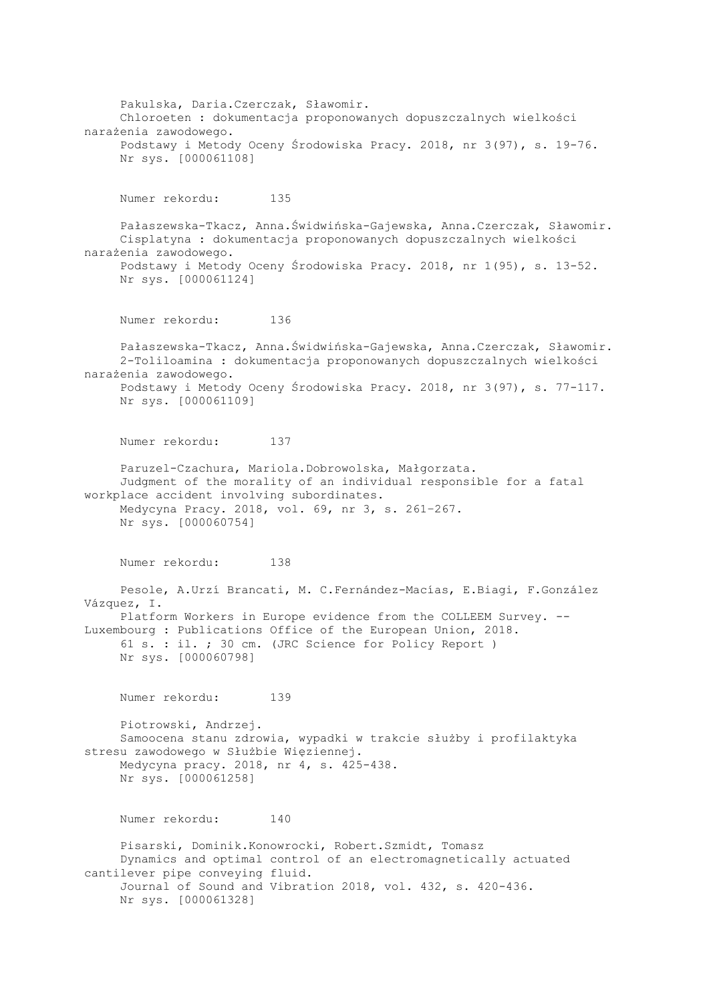Pakulska, Daria.Czerczak, Sławomir. Chloroeten : dokumentacja proponowanych dopuszczalnych wielkości narażenia zawodowego. Podstawy i Metody Oceny Środowiska Pracy. 2018, nr 3(97), s. 19-76. Nr sys. [000061108] Numer rekordu: 135 Pałaszewska-Tkacz, Anna.Świdwińska-Gajewska, Anna.Czerczak, Sławomir. Cisplatyna : dokumentacja proponowanych dopuszczalnych wielkości narażenia zawodowego. Podstawy i Metody Oceny Środowiska Pracy. 2018, nr 1(95), s. 13-52. Nr sys. [000061124] Numer rekordu: 136 Pałaszewska-Tkacz, Anna.Świdwińska-Gajewska, Anna.Czerczak, Sławomir. 2-Toliloamina : dokumentacja proponowanych dopuszczalnych wielkości narażenia zawodowego. Podstawy i Metody Oceny Środowiska Pracy. 2018, nr 3(97), s. 77-117. Nr sys. [000061109] Numer rekordu: 137 Paruzel-Czachura, Mariola.Dobrowolska, Małgorzata. Judgment of the morality of an individual responsible for a fatal workplace accident involving subordinates. Medycyna Pracy. 2018, vol. 69, nr 3, s. 261–267. Nr sys. [000060754] Numer rekordu: 138 Pesole, A.Urzí Brancati, M. C.Fernández-Macías, E.Biagi, F.González Vázquez, I. Platform Workers in Europe evidence from the COLLEEM Survey. -- Luxembourg : Publications Office of the European Union, 2018. 61 s. : il. ; 30 cm. (JRC Science for Policy Report ) Nr sys. [000060798] Numer rekordu: 139 Piotrowski, Andrzej. Samoocena stanu zdrowia, wypadki w trakcie służby i profilaktyka stresu zawodowego w Służbie Więziennej. Medycyna pracy. 2018, nr 4, s. 425-438. Nr sys. [000061258] Numer rekordu: 140 Pisarski, Dominik.Konowrocki, Robert.Szmidt, Tomasz Dynamics and optimal control of an electromagnetically actuated cantilever pipe conveying fluid. Journal of Sound and Vibration 2018, vol. 432, s. 420-436. Nr sys. [000061328]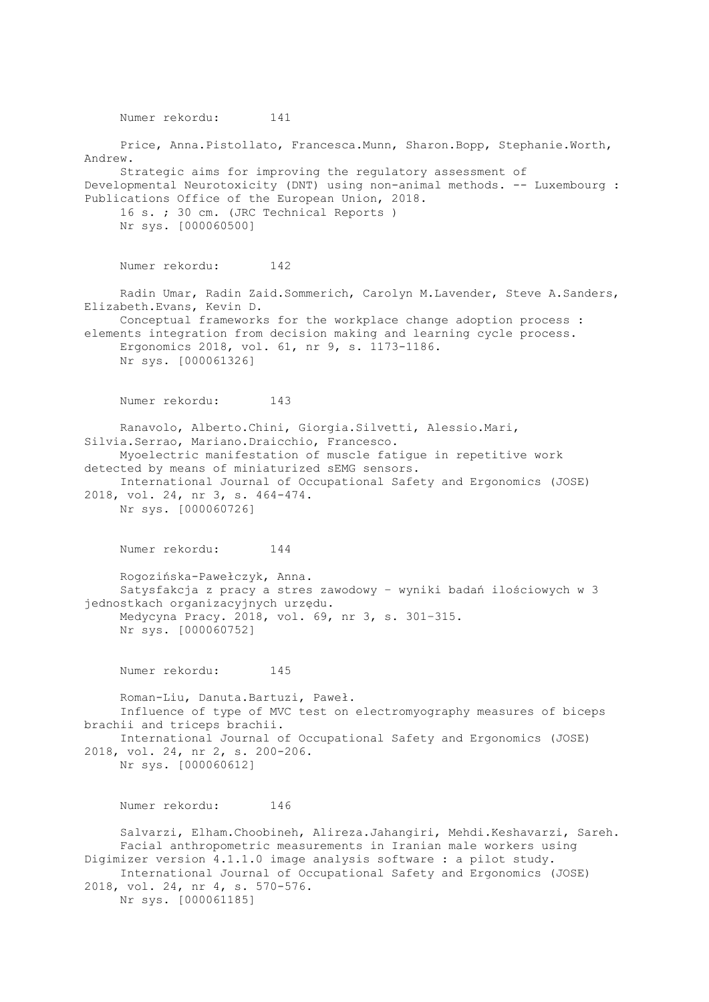Numer rekordu: 141 Price, Anna.Pistollato, Francesca.Munn, Sharon.Bopp, Stephanie.Worth, Andrew. Strategic aims for improving the regulatory assessment of Developmental Neurotoxicity (DNT) using non-animal methods. -- Luxembourg : Publications Office of the European Union, 2018. 16 s. ; 30 cm. (JRC Technical Reports ) Nr sys. [000060500] Numer rekordu: 142 Radin Umar, Radin Zaid.Sommerich, Carolyn M.Lavender, Steve A.Sanders, Elizabeth.Evans, Kevin D. Conceptual frameworks for the workplace change adoption process : elements integration from decision making and learning cycle process. Ergonomics 2018, vol. 61, nr 9, s. 1173-1186. Nr sys. [000061326] Numer rekordu: 143 Ranavolo, Alberto.Chini, Giorgia.Silvetti, Alessio.Mari, Silvia.Serrao, Mariano.Draicchio, Francesco. Myoelectric manifestation of muscle fatigue in repetitive work detected by means of miniaturized sEMG sensors. International Journal of Occupational Safety and Ergonomics (JOSE) 2018, vol. 24, nr 3, s. 464-474. Nr sys. [000060726] Numer rekordu: 144 Rogozińska-Pawełczyk, Anna. Satysfakcja z pracy a stres zawodowy – wyniki badań ilościowych w 3 jednostkach organizacyjnych urzędu. Medycyna Pracy. 2018, vol. 69, nr 3, s. 301–315. Nr sys. [000060752] Numer rekordu: 145 Roman-Liu, Danuta.Bartuzi, Paweł. Influence of type of MVC test on electromyography measures of biceps brachii and triceps brachii. International Journal of Occupational Safety and Ergonomics (JOSE) 2018, vol. 24, nr 2, s. 200-206. Nr sys. [000060612] Numer rekordu: 146 Salvarzi, Elham.Choobineh, Alireza.Jahangiri, Mehdi.Keshavarzi, Sareh. Facial anthropometric measurements in Iranian male workers using Digimizer version 4.1.1.0 image analysis software : a pilot study. International Journal of Occupational Safety and Ergonomics (JOSE) 2018, vol. 24, nr 4, s. 570-576. Nr sys. [000061185]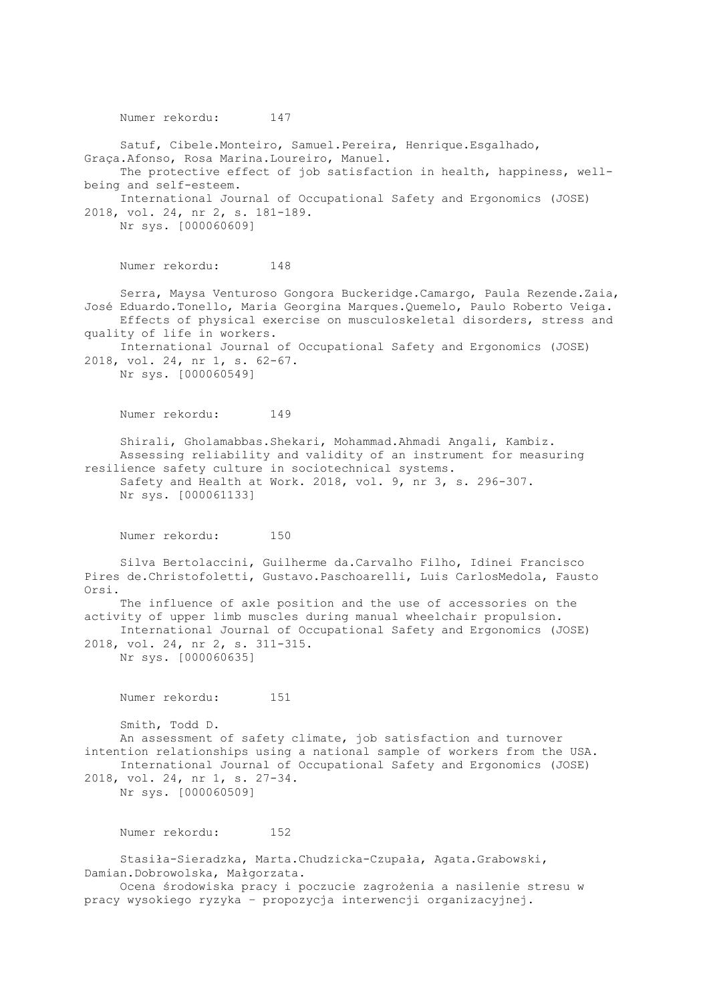Numer rekordu: 147 Satuf, Cibele.Monteiro, Samuel.Pereira, Henrique.Esgalhado, Graça.Afonso, Rosa Marina.Loureiro, Manuel. The protective effect of job satisfaction in health, happiness, wellbeing and self-esteem. International Journal of Occupational Safety and Ergonomics (JOSE) 2018, vol. 24, nr 2, s. 181-189. Nr sys. [000060609] Numer rekordu: 148 Serra, Maysa Venturoso Gongora Buckeridge.Camargo, Paula Rezende.Zaia, José Eduardo.Tonello, Maria Georgina Marques.Quemelo, Paulo Roberto Veiga. Effects of physical exercise on musculoskeletal disorders, stress and quality of life in workers. International Journal of Occupational Safety and Ergonomics (JOSE) 2018, vol. 24, nr 1, s. 62-67. Nr sys. [000060549] Numer rekordu: 149 Shirali, Gholamabbas.Shekari, Mohammad.Ahmadi Angali, Kambiz. Assessing reliability and validity of an instrument for measuring resilience safety culture in sociotechnical systems. Safety and Health at Work. 2018, vol. 9, nr 3, s. 296-307. Nr sys. [000061133] Numer rekordu: 150 Silva Bertolaccini, Guilherme da.Carvalho Filho, Idinei Francisco Pires de.Christofoletti, Gustavo.Paschoarelli, Luis CarlosMedola, Fausto Orsi. The influence of axle position and the use of accessories on the activity of upper limb muscles during manual wheelchair propulsion. International Journal of Occupational Safety and Ergonomics (JOSE) 2018, vol. 24, nr 2, s. 311-315. Nr sys. [000060635] Numer rekordu: 151 Smith, Todd D. An assessment of safety climate, job satisfaction and turnover intention relationships using a national sample of workers from the USA. International Journal of Occupational Safety and Ergonomics (JOSE) 2018, vol. 24, nr 1, s. 27-34. Nr sys. [000060509] Numer rekordu: 152 Stasiła-Sieradzka, Marta.Chudzicka-Czupała, Agata.Grabowski, Damian.Dobrowolska, Małgorzata. Ocena środowiska pracy i poczucie zagrożenia a nasilenie stresu w

pracy wysokiego ryzyka – propozycja interwencji organizacyjnej.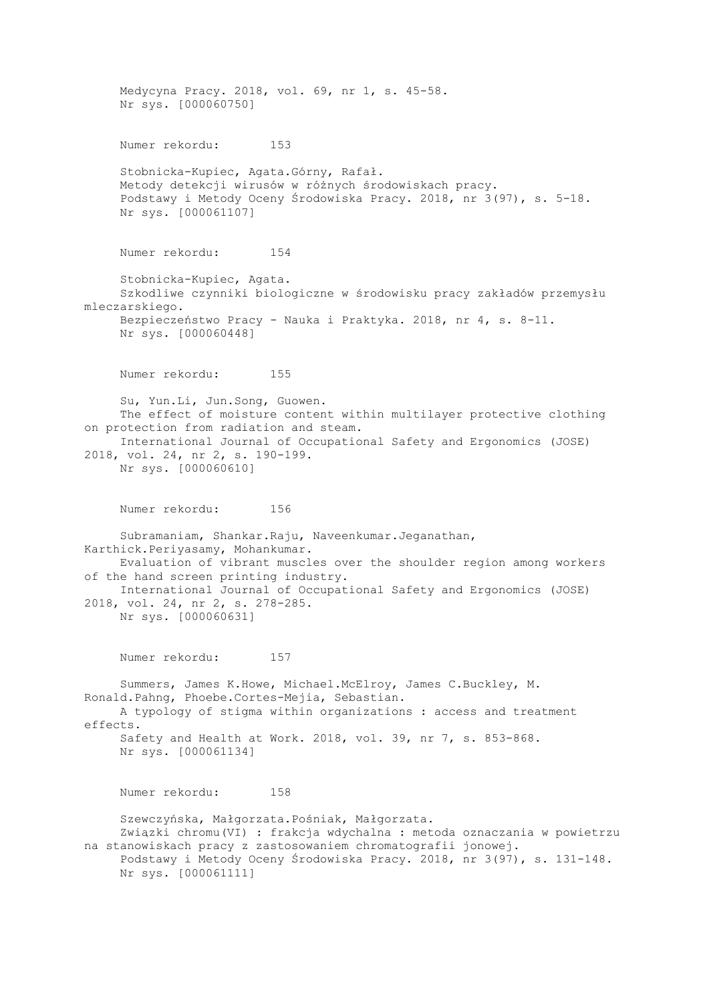Medycyna Pracy. 2018, vol. 69, nr 1, s. 45-58. Nr sys. [000060750] Numer rekordu: 153 Stobnicka-Kupiec, Agata.Górny, Rafał. Metody detekcji wirusów w różnych środowiskach pracy. Podstawy i Metody Oceny Środowiska Pracy. 2018, nr 3(97), s. 5-18. Nr sys. [000061107] Numer rekordu: 154 Stobnicka-Kupiec, Agata. Szkodliwe czynniki biologiczne w środowisku pracy zakładów przemysłu mleczarskiego. Bezpieczeństwo Pracy - Nauka i Praktyka. 2018, nr 4, s. 8-11. Nr sys. [000060448] Numer rekordu: 155 Su, Yun.Li, Jun.Song, Guowen. The effect of moisture content within multilayer protective clothing on protection from radiation and steam. International Journal of Occupational Safety and Ergonomics (JOSE) 2018, vol. 24, nr 2, s. 190-199. Nr sys. [000060610] Numer rekordu: 156 Subramaniam, Shankar.Raju, Naveenkumar.Jeganathan, Karthick.Periyasamy, Mohankumar. Evaluation of vibrant muscles over the shoulder region among workers of the hand screen printing industry. International Journal of Occupational Safety and Ergonomics (JOSE) 2018, vol. 24, nr 2, s. 278-285. Nr sys. [000060631] Numer rekordu: 157 Summers, James K.Howe, Michael.McElroy, James C.Buckley, M. Ronald.Pahng, Phoebe.Cortes-Mejia, Sebastian. A typology of stigma within organizations : access and treatment effects. Safety and Health at Work. 2018, vol. 39, nr 7, s. 853-868. Nr sys. [000061134] Numer rekordu: 158 Szewczyńska, Małgorzata.Pośniak, Małgorzata. Związki chromu(VI) : frakcja wdychalna : metoda oznaczania w powietrzu na stanowiskach pracy z zastosowaniem chromatografii jonowej. Podstawy i Metody Oceny Środowiska Pracy. 2018, nr 3(97), s. 131-148. Nr sys. [000061111]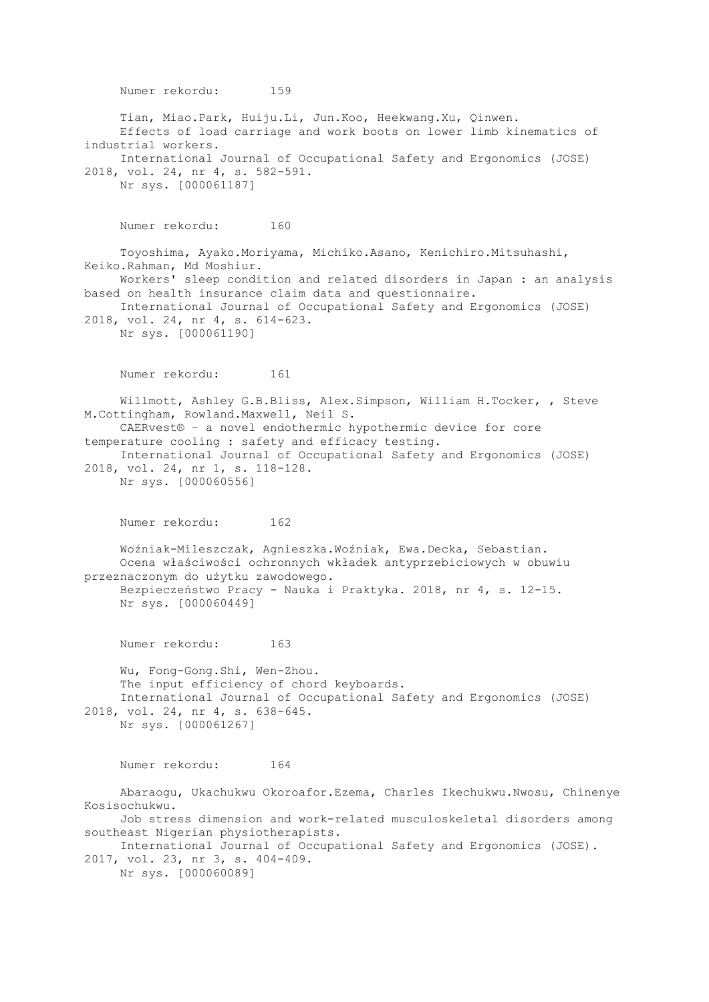Numer rekordu: 159 Tian, Miao.Park, Huiju.Li, Jun.Koo, Heekwang.Xu, Qinwen. Effects of load carriage and work boots on lower limb kinematics of industrial workers. International Journal of Occupational Safety and Ergonomics (JOSE) 2018, vol. 24, nr 4, s. 582-591. Nr sys. [000061187] Numer rekordu: 160 Toyoshima, Ayako.Moriyama, Michiko.Asano, Kenichiro.Mitsuhashi, Keiko.Rahman, Md Moshiur. Workers' sleep condition and related disorders in Japan : an analysis based on health insurance claim data and questionnaire. International Journal of Occupational Safety and Ergonomics (JOSE) 2018, vol. 24, nr 4, s. 614-623. Nr sys. [000061190] Numer rekordu: 161 Willmott, Ashley G.B.Bliss, Alex.Simpson, William H.Tocker, , Steve M.Cottingham, Rowland.Maxwell, Neil S. CAERvest® – a novel endothermic hypothermic device for core temperature cooling : safety and efficacy testing. International Journal of Occupational Safety and Ergonomics (JOSE) 2018, vol. 24, nr 1, s. 118-128. Nr sys. [000060556] Numer rekordu: 162 Woźniak-Mileszczak, Agnieszka.Woźniak, Ewa.Decka, Sebastian. Ocena właściwości ochronnych wkładek antyprzebiciowych w obuwiu przeznaczonym do użytku zawodowego. Bezpieczeństwo Pracy - Nauka i Praktyka. 2018, nr 4, s. 12-15. Nr sys. [000060449] Numer rekordu: 163 Wu, Fong-Gong.Shi, Wen-Zhou. The input efficiency of chord keyboards. International Journal of Occupational Safety and Ergonomics (JOSE) 2018, vol. 24, nr 4, s. 638-645. Nr sys. [000061267] Numer rekordu: 164 Abaraogu, Ukachukwu Okoroafor.Ezema, Charles Ikechukwu.Nwosu, Chinenye Kosisochukwu. Job stress dimension and work-related musculoskeletal disorders among southeast Nigerian physiotherapists. International Journal of Occupational Safety and Ergonomics (JOSE). 2017, vol. 23, nr 3, s. 404-409. Nr sys. [000060089]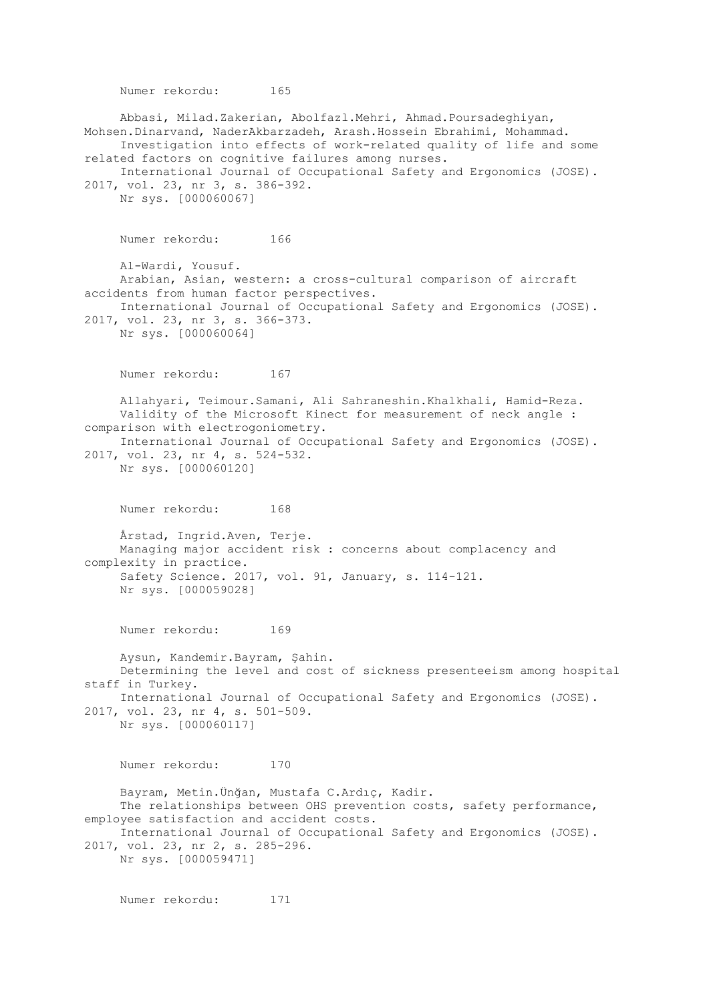Numer rekordu: 165 Abbasi, Milad.Zakerian, Abolfazl.Mehri, Ahmad.Poursadeghiyan, Mohsen.Dinarvand, NaderAkbarzadeh, Arash.Hossein Ebrahimi, Mohammad. Investigation into effects of work-related quality of life and some related factors on cognitive failures among nurses. International Journal of Occupational Safety and Ergonomics (JOSE). 2017, vol. 23, nr 3, s. 386-392. Nr sys. [000060067] Numer rekordu: 166 Al-Wardi, Yousuf. Arabian, Asian, western: a cross-cultural comparison of aircraft accidents from human factor perspectives. International Journal of Occupational Safety and Ergonomics (JOSE). 2017, vol. 23, nr 3, s. 366-373. Nr sys. [000060064] Numer rekordu: 167 Allahyari, Teimour.Samani, Ali Sahraneshin.Khalkhali, Hamid-Reza. Validity of the Microsoft Kinect for measurement of neck angle : comparison with electrogoniometry. International Journal of Occupational Safety and Ergonomics (JOSE). 2017, vol. 23, nr 4, s. 524-532. Nr sys. [000060120] Numer rekordu: 168 Årstad, Ingrid.Aven, Terje. Managing major accident risk : concerns about complacency and complexity in practice. Safety Science. 2017, vol. 91, January, s. 114-121. Nr sys. [000059028] Numer rekordu: 169 Aysun, Kandemir.Bayram, Şahin. Determining the level and cost of sickness presenteeism among hospital staff in Turkey. International Journal of Occupational Safety and Ergonomics (JOSE). 2017, vol. 23, nr 4, s. 501-509. Nr sys. [000060117] Numer rekordu: 170 Bayram, Metin.Ünğan, Mustafa C.Ardıç, Kadir. The relationships between OHS prevention costs, safety performance, employee satisfaction and accident costs. International Journal of Occupational Safety and Ergonomics (JOSE). 2017, vol. 23, nr 2, s. 285-296. Nr sys. [000059471]

Numer rekordu: 171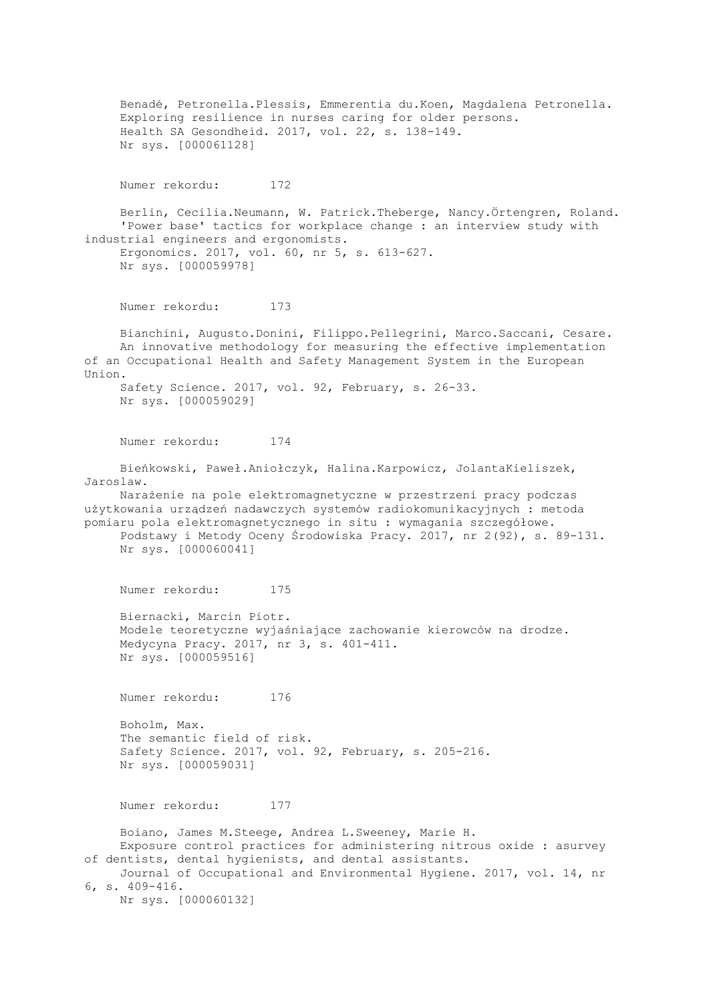Benadé, Petronella.Plessis, Emmerentia du.Koen, Magdalena Petronella. Exploring resilience in nurses caring for older persons. Health SA Gesondheid. 2017, vol. 22, s. 138-149. Nr sys. [000061128] Numer rekordu: 172 Berlin, Cecilia.Neumann, W. Patrick.Theberge, Nancy.Örtengren, Roland. 'Power base' tactics for workplace change : an interview study with industrial engineers and ergonomists. Ergonomics. 2017, vol. 60, nr 5, s. 613-627. Nr sys. [000059978] Numer rekordu: 173 Bianchini, Augusto.Donini, Filippo.Pellegrini, Marco.Saccani, Cesare. An innovative methodology for measuring the effective implementation of an Occupational Health and Safety Management System in the European Union. Safety Science. 2017, vol. 92, February, s. 26-33. Nr sys. [000059029] Numer rekordu: 174 Bieńkowski, Paweł.Aniołczyk, Halina.Karpowicz, JolantaKieliszek, Jaroslaw. Narażenie na pole elektromagnetyczne w przestrzeni pracy podczas użytkowania urządzeń nadawczych systemów radiokomunikacyjnych : metoda pomiaru pola elektromagnetycznego in situ : wymagania szczegółowe. Podstawy i Metody Oceny Środowiska Pracy. 2017, nr 2(92), s. 89-131. Nr sys. [000060041] Numer rekordu: 175 Biernacki, Marcin Piotr. Modele teoretyczne wyjaśniające zachowanie kierowców na drodze. Medycyna Pracy. 2017, nr 3, s. 401-411. Nr sys. [000059516] Numer rekordu: 176 Boholm, Max. The semantic field of risk. Safety Science. 2017, vol. 92, February, s. 205-216. Nr sys. [000059031] Numer rekordu: 177 Boiano, James M.Steege, Andrea L.Sweeney, Marie H. Exposure control practices for administering nitrous oxide : asurvey of dentists, dental hygienists, and dental assistants. Journal of Occupational and Environmental Hygiene. 2017, vol. 14, nr 6, s. 409-416. Nr sys. [000060132]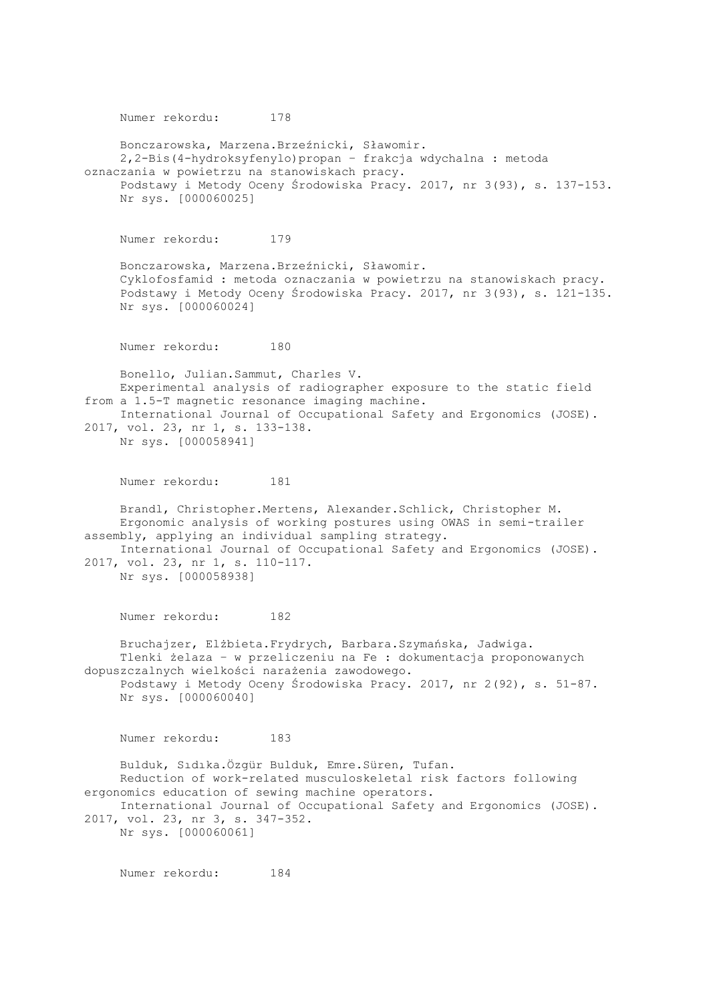Numer rekordu: 178 Bonczarowska, Marzena.Brzeźnicki, Sławomir. 2,2-Bis(4-hydroksyfenylo)propan – frakcja wdychalna : metoda oznaczania w powietrzu na stanowiskach pracy. Podstawy i Metody Oceny Środowiska Pracy. 2017, nr 3(93), s. 137-153. Nr sys. [000060025] Numer rekordu: 179 Bonczarowska, Marzena.Brzeźnicki, Sławomir. Cyklofosfamid : metoda oznaczania w powietrzu na stanowiskach pracy. Podstawy i Metody Oceny Środowiska Pracy. 2017, nr 3(93), s. 121-135. Nr sys. [000060024] Numer rekordu: 180 Bonello, Julian.Sammut, Charles V. Experimental analysis of radiographer exposure to the static field from a 1.5-T magnetic resonance imaging machine. International Journal of Occupational Safety and Ergonomics (JOSE). 2017, vol. 23, nr 1, s. 133-138. Nr sys. [000058941] Numer rekordu: 181 Brandl, Christopher.Mertens, Alexander.Schlick, Christopher M. Ergonomic analysis of working postures using OWAS in semi-trailer assembly, applying an individual sampling strategy. International Journal of Occupational Safety and Ergonomics (JOSE). 2017, vol. 23, nr 1, s. 110-117. Nr sys. [000058938] Numer rekordu: 182 Bruchajzer, Elżbieta.Frydrych, Barbara.Szymańska, Jadwiga. Tlenki żelaza – w przeliczeniu na Fe : dokumentacja proponowanych dopuszczalnych wielkości narażenia zawodowego. Podstawy i Metody Oceny Środowiska Pracy. 2017, nr 2(92), s. 51-87. Nr sys. [000060040] Numer rekordu: 183 Bulduk, Sıdıka.Özgür Bulduk, Emre.Süren, Tufan. Reduction of work-related musculoskeletal risk factors following ergonomics education of sewing machine operators. International Journal of Occupational Safety and Ergonomics (JOSE). 2017, vol. 23, nr 3, s. 347-352. Nr sys. [000060061]

Numer rekordu: 184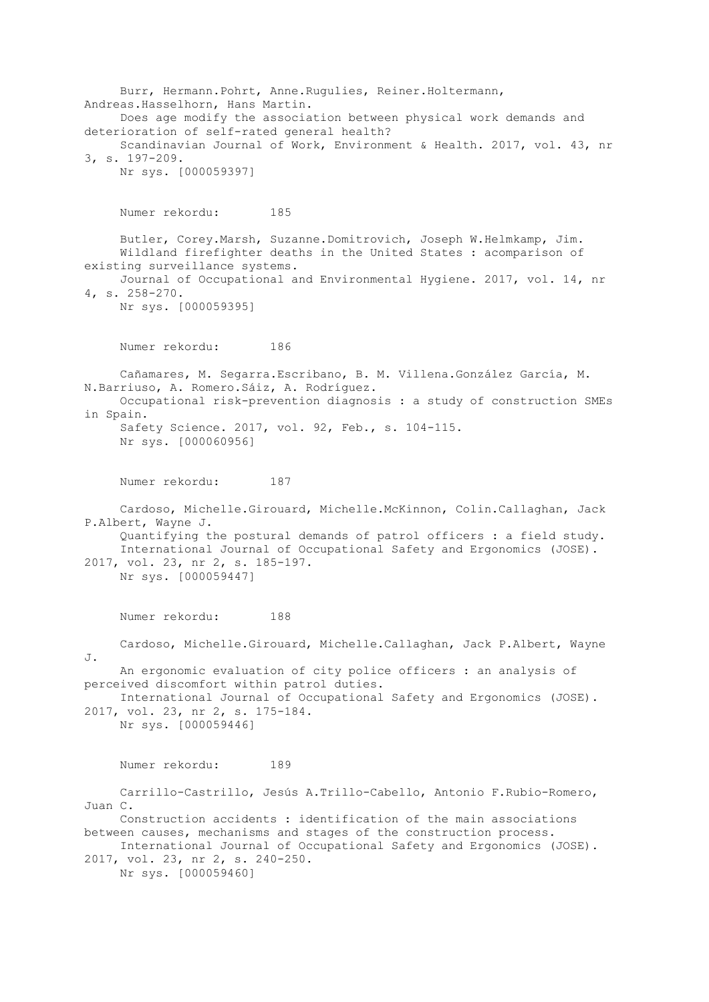Burr, Hermann.Pohrt, Anne.Rugulies, Reiner.Holtermann, Andreas.Hasselhorn, Hans Martin. Does age modify the association between physical work demands and deterioration of self-rated general health? Scandinavian Journal of Work, Environment & Health. 2017, vol. 43, nr 3, s. 197-209. Nr sys. [000059397] Numer rekordu: 185 Butler, Corey.Marsh, Suzanne.Domitrovich, Joseph W.Helmkamp, Jim. Wildland firefighter deaths in the United States : acomparison of existing surveillance systems. Journal of Occupational and Environmental Hygiene. 2017, vol. 14, nr 4, s. 258-270. Nr sys. [000059395] Numer rekordu: 186 Cañamares, M. Segarra.Escribano, B. M. Villena.González García, M. N.Barriuso, A. Romero.Sáiz, A. Rodríguez. Occupational risk-prevention diagnosis : a study of construction SMEs in Spain. Safety Science. 2017, vol. 92, Feb., s. 104-115. Nr sys. [000060956] Numer rekordu: 187 Cardoso, Michelle.Girouard, Michelle.McKinnon, Colin.Callaghan, Jack P.Albert, Wayne J. Quantifying the postural demands of patrol officers : a field study. International Journal of Occupational Safety and Ergonomics (JOSE). 2017, vol. 23, nr 2, s. 185-197. Nr sys. [000059447] Numer rekordu: 188 Cardoso, Michelle.Girouard, Michelle.Callaghan, Jack P.Albert, Wayne J. An ergonomic evaluation of city police officers : an analysis of perceived discomfort within patrol duties. International Journal of Occupational Safety and Ergonomics (JOSE). 2017, vol. 23, nr 2, s. 175-184. Nr sys. [000059446] Numer rekordu: 189 Carrillo-Castrillo, Jesús A.Trillo-Cabello, Antonio F.Rubio-Romero, Juan C. Construction accidents : identification of the main associations between causes, mechanisms and stages of the construction process. International Journal of Occupational Safety and Ergonomics (JOSE). 2017, vol. 23, nr 2, s. 240-250. Nr sys. [000059460]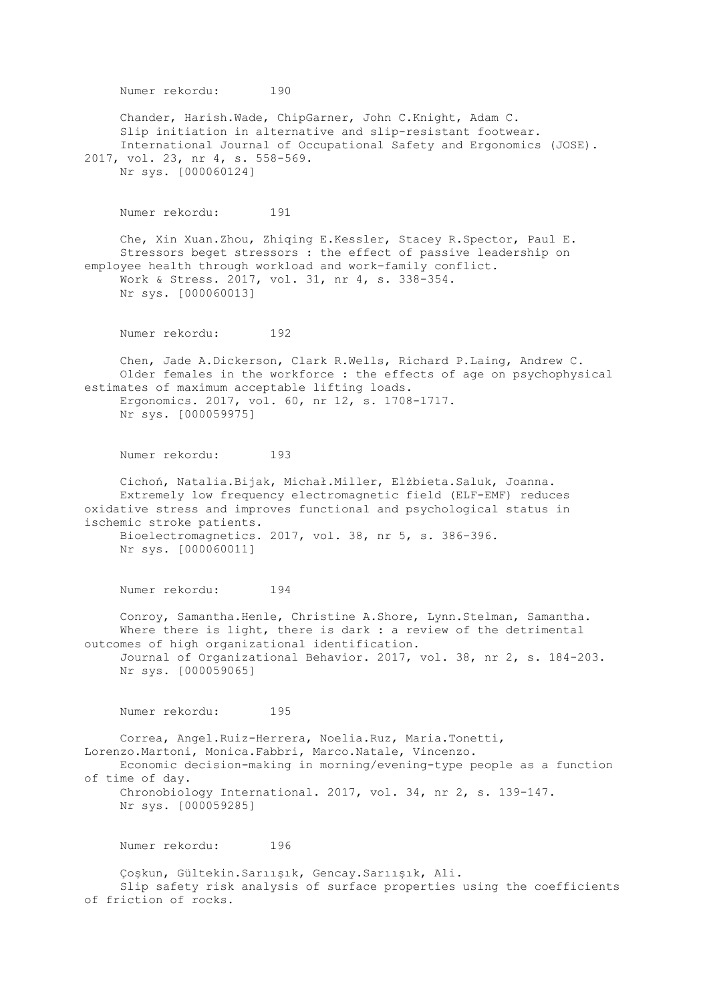Numer rekordu: 190 Chander, Harish.Wade, ChipGarner, John C.Knight, Adam C. Slip initiation in alternative and slip-resistant footwear. International Journal of Occupational Safety and Ergonomics (JOSE). 2017, vol. 23, nr 4, s. 558-569. Nr sys. [000060124] Numer rekordu: 191 Che, Xin Xuan.Zhou, Zhiqing E.Kessler, Stacey R.Spector, Paul E. Stressors beget stressors : the effect of passive leadership on employee health through workload and work–family conflict. Work & Stress. 2017, vol. 31, nr 4, s. 338-354. Nr sys. [000060013] Numer rekordu: 192 Chen, Jade A.Dickerson, Clark R.Wells, Richard P.Laing, Andrew C. Older females in the workforce : the effects of age on psychophysical estimates of maximum acceptable lifting loads. Ergonomics. 2017, vol. 60, nr 12, s. 1708-1717. Nr sys. [000059975] Numer rekordu: 193 Cichoń, Natalia.Bijak, Michał.Miller, Elżbieta.Saluk, Joanna. Extremely low frequency electromagnetic field (ELF-EMF) reduces oxidative stress and improves functional and psychological status in ischemic stroke patients. Bioelectromagnetics. 2017, vol. 38, nr 5, s. 386–396. Nr sys. [000060011] Numer rekordu: 194 Conroy, Samantha.Henle, Christine A.Shore, Lynn.Stelman, Samantha. Where there is light, there is dark : a review of the detrimental outcomes of high organizational identification. Journal of Organizational Behavior. 2017, vol. 38, nr 2, s. 184-203. Nr sys. [000059065] Numer rekordu: 195 Correa, Angel.Ruiz-Herrera, Noelia.Ruz, Maria.Tonetti, Lorenzo.Martoni, Monica.Fabbri, Marco.Natale, Vincenzo. Economic decision-making in morning/evening-type people as a function of time of day. Chronobiology International. 2017, vol. 34, nr 2, s. 139-147. Nr sys. [000059285] Numer rekordu: 196 Çoşkun, Gültekin.Sarıışık, Gencay.Sarıışık, Ali. Slip safety risk analysis of surface properties using the coefficients of friction of rocks.